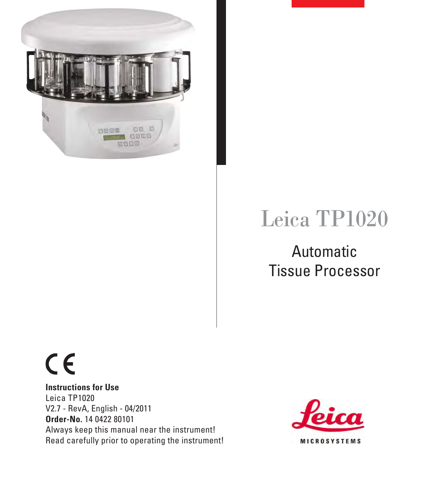

# Leica TP1020

## Automatic Tissue Processor

# $C<sub>6</sub>$

**Instructions for Use** Leica TP1020 V2.7 - RevA, English - 04/2011 **Order-No.** 14 0422 80101 Always keep this manual near the instrument! Read carefully prior to operating the instrument!

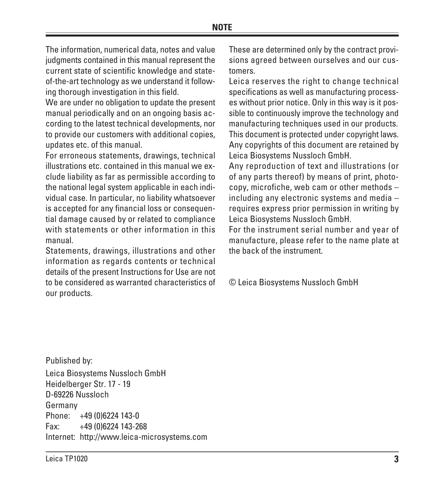The information, numerical data, notes and value judgments contained in this manual represent the current state of scientific knowledge and stateof-the-art technology as we understand it following thorough investigation in this field.

We are under no obligation to update the present manual periodically and on an ongoing basis according to the latest technical developments, nor to provide our customers with additional copies, updates etc. of this manual.

For erroneous statements, drawings, technical illustrations etc. contained in this manual we exclude liability as far as permissible according to the national legal system applicable in each individual case. In particular, no liability whatsoever is accepted for any financial loss or consequential damage caused by or related to compliance with statements or other information in this manual.

Statements, drawings, illustrations and other information as regards contents or technical details of the present Instructions for Use are not to be considered as warranted characteristics of our products.

These are determined only by the contract provisions agreed between ourselves and our customers.

Leica reserves the right to change technical specifications as well as manufacturing processes without prior notice. Only in this way is it possible to continuously improve the technology and manufacturing techniques used in our products. This document is protected under copyright laws. Any copyrights of this document are retained by Leica Biosystems Nussloch GmbH.

Any reproduction of text and illustrations (or of any parts thereof) by means of print, photocopy, microfiche, web cam or other methods – including any electronic systems and media – requires express prior permission in writing by Leica Biosystems Nussloch GmbH.

For the instrument serial number and year of manufacture, please refer to the name plate at the back of the instrument.

© Leica Biosystems Nussloch GmbH

Published by: Leica Biosystems Nussloch GmbH Heidelberger Str. 17 - 19 D-69226 Nussloch Germany Phone: +49 (0)6224 143-0 Fax: +49 (0)6224 143-268 Internet: http://www.leica-microsystems.com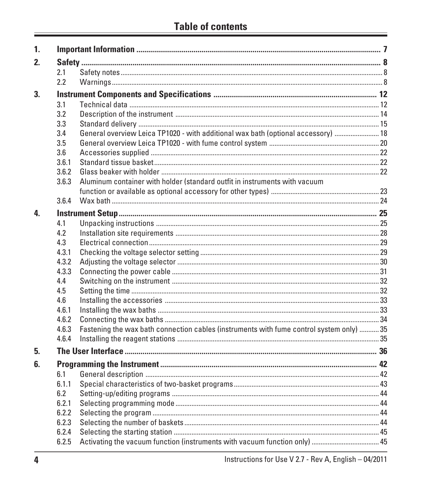| $\mathbf{1}$ |       |                                                                                          |  |  |  |
|--------------|-------|------------------------------------------------------------------------------------------|--|--|--|
| $2_{\cdot}$  |       |                                                                                          |  |  |  |
|              | 2.1   |                                                                                          |  |  |  |
|              | 2.2   |                                                                                          |  |  |  |
| 3.           |       |                                                                                          |  |  |  |
|              | 3.1   |                                                                                          |  |  |  |
|              | 3.2   |                                                                                          |  |  |  |
|              | 3.3   |                                                                                          |  |  |  |
|              | 3.4   | General overview Leica TP1020 - with additional wax bath (optional accessory)  18        |  |  |  |
|              | 3.5   |                                                                                          |  |  |  |
|              | 3.6   |                                                                                          |  |  |  |
|              | 3.6.1 |                                                                                          |  |  |  |
|              | 3.6.2 |                                                                                          |  |  |  |
|              | 3.6.3 | Aluminum container with holder (standard outfit in instruments with vacuum               |  |  |  |
|              |       |                                                                                          |  |  |  |
|              | 3.6.4 |                                                                                          |  |  |  |
| 4.           |       |                                                                                          |  |  |  |
|              | 4.1   |                                                                                          |  |  |  |
|              | 4.2   |                                                                                          |  |  |  |
|              | 4.3   |                                                                                          |  |  |  |
|              | 4.3.1 |                                                                                          |  |  |  |
|              | 4.3.2 |                                                                                          |  |  |  |
|              | 4.3.3 |                                                                                          |  |  |  |
|              | 4.4   |                                                                                          |  |  |  |
|              | 4.5   |                                                                                          |  |  |  |
|              | 4.6   |                                                                                          |  |  |  |
|              | 4.6.1 |                                                                                          |  |  |  |
|              | 4.6.2 |                                                                                          |  |  |  |
|              | 4.6.3 | Fastening the wax bath connection cables (instruments with fume control system only)  35 |  |  |  |
|              | 4.6.4 |                                                                                          |  |  |  |
| 5.           |       |                                                                                          |  |  |  |
| 6.           |       |                                                                                          |  |  |  |
|              | 6.1   |                                                                                          |  |  |  |
|              | 6.1.1 |                                                                                          |  |  |  |
|              | 6.2   |                                                                                          |  |  |  |
|              | 6.2.1 |                                                                                          |  |  |  |
|              | 6.2.2 |                                                                                          |  |  |  |
|              | 6.2.3 |                                                                                          |  |  |  |
|              | 6.2.4 |                                                                                          |  |  |  |
|              | 6.2.5 |                                                                                          |  |  |  |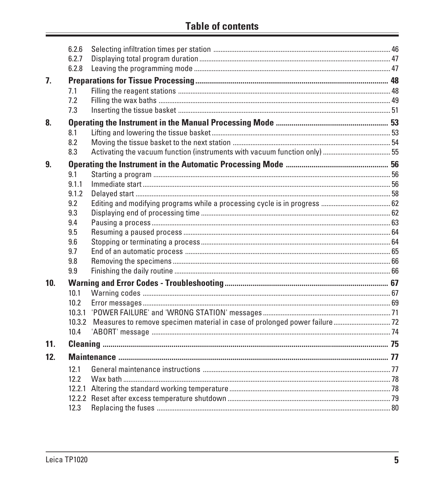|     | 6.2.6             |                                                                                |  |
|-----|-------------------|--------------------------------------------------------------------------------|--|
|     | 6.2.7             |                                                                                |  |
|     | 6.2.8             |                                                                                |  |
| 7.  |                   |                                                                                |  |
|     | 7.1               |                                                                                |  |
|     | 7.2               |                                                                                |  |
|     | 7.3               |                                                                                |  |
| 8.  |                   |                                                                                |  |
|     | 8.1               |                                                                                |  |
|     | 8.2               |                                                                                |  |
|     | 8.3               |                                                                                |  |
| 9.  |                   |                                                                                |  |
|     | 9.1               |                                                                                |  |
|     | 9.1.1             |                                                                                |  |
|     | 9.1.2             |                                                                                |  |
|     | 9.2               |                                                                                |  |
|     | 9.3               |                                                                                |  |
|     | 9.4               |                                                                                |  |
|     | 9.5               |                                                                                |  |
|     | 9.6               |                                                                                |  |
|     | 9.7               |                                                                                |  |
|     | 9.8               |                                                                                |  |
|     | 9.9               |                                                                                |  |
| 10. |                   |                                                                                |  |
|     | 10.1              |                                                                                |  |
|     | 10.2 <sub>2</sub> |                                                                                |  |
|     |                   |                                                                                |  |
|     |                   | 10.3.2 Measures to remove specimen material in case of prolonged power failure |  |
|     | 10.4              |                                                                                |  |
| 11. |                   |                                                                                |  |
| 12. |                   |                                                                                |  |
|     |                   |                                                                                |  |
|     | 12.1              |                                                                                |  |
|     | 12.2              |                                                                                |  |
|     |                   |                                                                                |  |
|     | 12.3              |                                                                                |  |
|     |                   |                                                                                |  |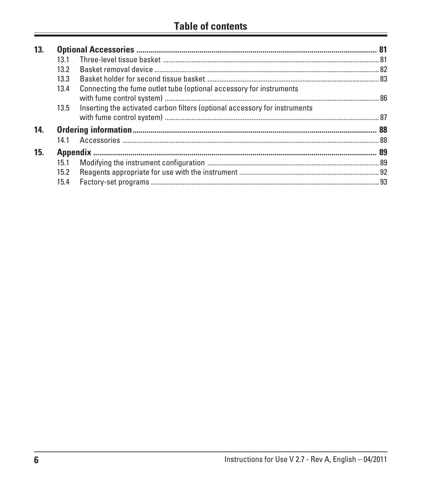| 13. |                   |                                                                            |  |
|-----|-------------------|----------------------------------------------------------------------------|--|
|     |                   |                                                                            |  |
|     | 13.2              |                                                                            |  |
|     | 13.3 <sub>1</sub> |                                                                            |  |
|     | 13.4              | Connecting the fume outlet tube (optional accessory for instruments        |  |
|     | 13.5              | Inserting the activated carbon filters (optional accessory for instruments |  |
| 14. |                   |                                                                            |  |
|     |                   |                                                                            |  |
| 15. |                   |                                                                            |  |
|     |                   |                                                                            |  |
|     | 15.2              |                                                                            |  |
|     | 15.4              |                                                                            |  |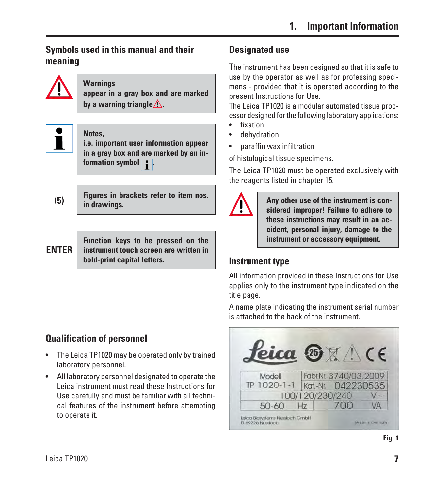### <span id="page-5-0"></span>**Symbols used in this manual and their meaning**



### **Warnings**

**appear in a gray box and are marked** by a warning triangle $\Lambda$ .



### **Notes,**

**i.e. important user information appear in a gray box and are marked by an information symbol .**

**Figures in brackets refer to item nos. in drawings.**

### **ENTER**

**(5)**

**Function keys to be pressed on the instrument touch screen are written in bold-print capital letters. Instrument type**

### **Qualification of personnel**

- The Leica TP1020 may be operated only by trained laboratory personnel.
- All laboratory personnel designated to operate the Leica instrument must read these Instructions for Use carefully and must be familiar with all technical features of the instrument before attempting to operate it.

### **Designated use**

The instrument has been designed so that it is safe to use by the operator as well as for professing specimens - provided that it is operated according to the present Instructions for Use.

The Leica TP1020 is a modular automated tissue processor designed for the following laboratory applications:

- **fixation**
- dehydration
- paraffin wax infiltration

of histological tissue specimens.

The Leica TP1020 must be operated exclusively with the reagents listed in chapter 15.



**Any other use of the instrument is considered improper! Failure to adhere to these instructions may result in an accident, personal injury, damage to the instrument or accessory equipment.**

All information provided in these Instructions for Use applies only to the instrument type indicated on the title page.

A name plate indicating the instrument serial number is attached to the back of the instrument.

| Peica 25    |                |                       |  |
|-------------|----------------|-----------------------|--|
|             |                |                       |  |
| Modell      |                | Fabr.Nr. 3740/03.2009 |  |
| TP 1020-1-1 |                | Kat.-Nr. 042230535    |  |
|             |                | 100/120/230/240       |  |
| 50-60       | H <sub>7</sub> | 700                   |  |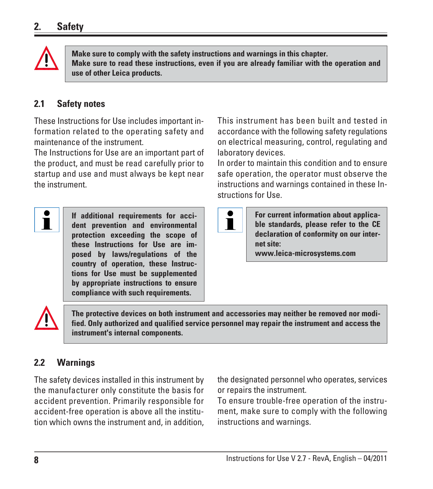<span id="page-6-0"></span>

**Make sure to comply with the safety instructions and warnings in this chapter. Make sure to read these instructions, even if you are already familiar with the operation and use of other Leica products.**

### **2.1 Safety notes**

These Instructions for Use includes important information related to the operating safety and maintenance of the instrument.

The Instructions for Use are an important part of the product, and must be read carefully prior to startup and use and must always be kept near the instrument.

Ť

**If additional requirements for accident prevention and environmental protection exceeding the scope of these Instructions for Use are imposed by laws/regulations of the country of operation, these Instructions for Use must be supplemented by appropriate instructions to ensure compliance with such requirements.**

This instrument has been built and tested in accordance with the following safety regulations on electrical measuring, control, regulating and laboratory devices.

In order to maintain this condition and to ensure safe operation, the operator must observe the instructions and warnings contained in these Instructions for Use.

T

**For current information about applicable standards, please refer to the CE declaration of conformity on our internet site: www.leica-microsystems.com**



**The protective devices on both instrument and accessories may neither be removed nor modified. Only authorized and qualified service personnel may repair the instrument and access the instrument's internal components.**

### **2.2 Warnings**

The safety devices installed in this instrument by the manufacturer only constitute the basis for accident prevention. Primarily responsible for accident-free operation is above all the institution which owns the instrument and, in addition, the designated personnel who operates, services or repairs the instrument.

To ensure trouble-free operation of the instrument, make sure to comply with the following instructions and warnings.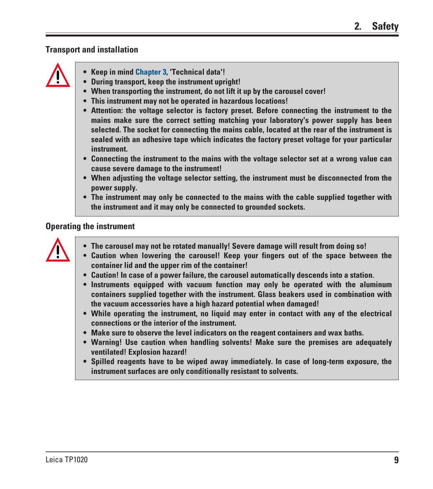### **Transport and installation**



- **Keep in mind Chapter 3, 'Technical data'!**
- **• During transport, keep the instrument upright!**
- **When transporting the instrument, do not lift it up by the carousel cover!**
- **This instrument may not be operated in hazardous locations!**
- **Attention: the voltage selector is factory preset. Before connecting the instrument to the mains make sure the correct setting matching your laboratory's power supply has been selected. The socket for connecting the mains cable, located at the rear of the instrument is sealed with an adhesive tape which indicates the factory preset voltage for your particular instrument.**
- **Connecting the instrument to the mains with the voltage selector set at a wrong value can cause severe damage to the instrument!**
- **When adjusting the voltage selector setting, the instrument must be disconnected from the power supply.**
- **The instrument may only be connected to the mains with the cable supplied together with the instrument and it may only be connected to grounded sockets.**

### **Operating the instrument**

- **The carousel may not be rotated manually! Severe damage will result from doing so!**
- **Caution when lowering the carousel! Keep your fingers out of the space between the container lid and the upper rim of the container!**
- **Caution! In case of a power failure, the carousel automatically descends into a station.**
- **Instruments equipped with vacuum function may only be operated with the aluminum containers supplied together with the instrument. Glass beakers used in combination with the vacuum accessories have a high hazard potential when damaged!**
- **While operating the instrument, no liquid may enter in contact with any of the electrical connections or the interior of the instrument.**
- **Make sure to observe the level indicators on the reagent containers and wax baths.**
- **Warning! Use caution when handling solvents! Make sure the premises are adequately ventilated! Explosion hazard!**
- **Spilled reagents have to be wiped away immediately. In case of long-term exposure, the instrument surfaces are only conditionally resistant to solvents.**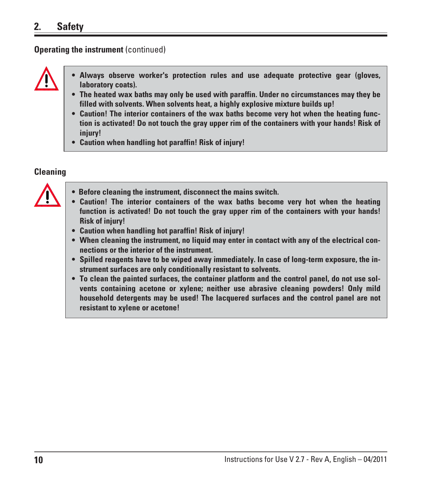### **2. Safety**

### **Operating the instrument (continued)**



- **Always observe worker's protection rules and use adequate protective gear (gloves, laboratory coats).**
- **The heated wax baths may only be used with paraffin. Under no circumstances may they be filled with solvents. When solvents heat, a highly explosive mixture builds up!**
- **Caution! The interior containers of the wax baths become very hot when the heating function is activated! Do not touch the gray upper rim of the containers with your hands! Risk of injury!**
- **Caution when handling hot paraffin! Risk of injury!**

### **Cleaning**



- **Before cleaning the instrument, disconnect the mains switch.**
- **Caution! The interior containers of the wax baths become very hot when the heating function is activated! Do not touch the gray upper rim of the containers with your hands! Risk of injury!**
- **Caution when handling hot paraffin! Risk of injury!**
- **When cleaning the instrument, no liquid may enter in contact with any of the electrical connections or the interior of the instrument.**
- **Spilled reagents have to be wiped away immediately. In case of long-term exposure, the instrument surfaces are only conditionally resistant to solvents.**
- **To clean the painted surfaces, the container platform and the control panel, do not use solvents containing acetone or xylene; neither use abrasive cleaning powders! Only mild household detergents may be used! The lacquered surfaces and the control panel are not resistant to xylene or acetone!**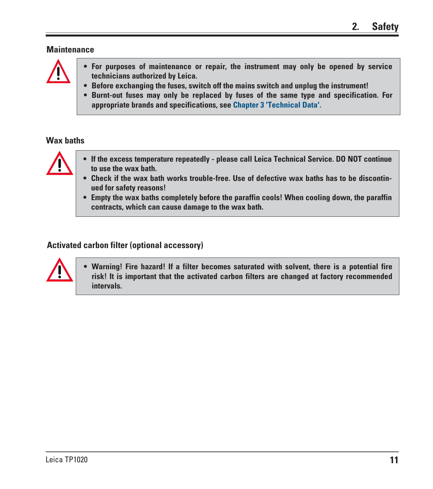### **Maintenance**



- **For purposes of maintenance or repair, the instrument may only be opened by service technicians authorized by Leica.**
- **Before exchanging the fuses, switch off the mains switch and unplug the instrument!**
- **Burnt-out fuses may only be replaced by fuses of the same type and specification. For appropriate brands and specifications, see Chapter 3 'Technical Data'.**

### **Wax baths**



- **If the excess temperature repeatedly please call Leica Technical Service. DO NOT continue to use the wax bath.**
- **Check if the wax bath works trouble-free. Use of defective wax baths has to be discontinued for safety reasons!**
- **Empty the wax baths completely before the paraffin cools! When cooling down, the paraffin contracts, which can cause damage to the wax bath.**

### **Activated carbon filter (optional accessory)**



**• Warning! Fire hazard! If a filter becomes saturated with solvent, there is a potential fire risk! It is important that the activated carbon filters are changed at factory recommended intervals.**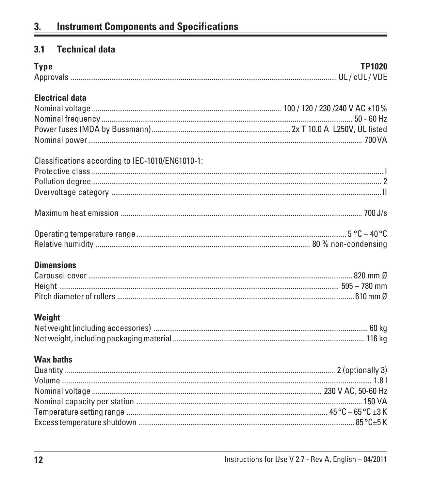### <span id="page-10-0"></span> $3.1$ **Technical data**

| <b>Type</b>                                      | <b>TP1020</b> |
|--------------------------------------------------|---------------|
| <b>Electrical data</b>                           |               |
| Classifications according to IEC-1010/EN61010-1: |               |
|                                                  |               |
|                                                  |               |
| <b>Dimensions</b>                                |               |
| Weight                                           |               |
| <b>Wax baths</b>                                 |               |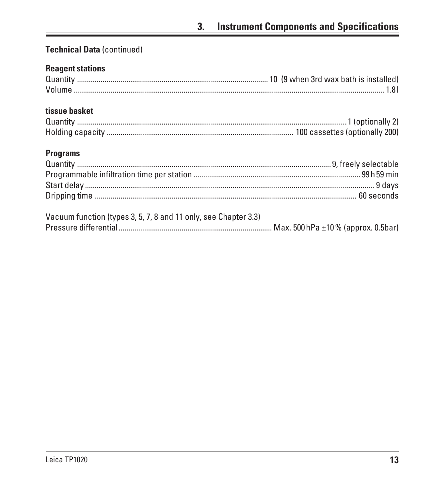### **Technical Data (continued)**

### **Reagent stations**

### tissue basket

### **Programs**

| Vacuum function (types 3, 5, 7, 8 and 11 only, see Chapter 3.3) |  |
|-----------------------------------------------------------------|--|
|                                                                 |  |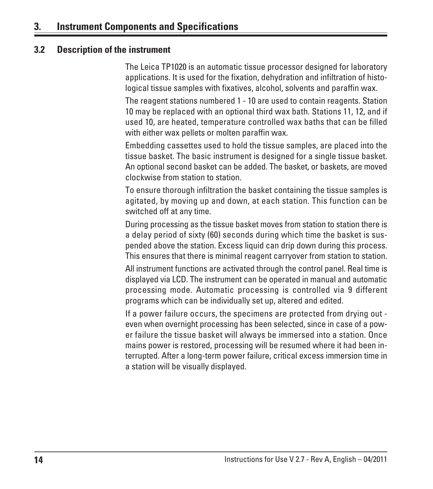### <span id="page-12-0"></span>**3. Instrument Components and Specifications**

### **3.2 Description of the instrument**

The Leica TP1020 is an automatic tissue processor designed for laboratory applications. It is used for the fixation, dehydration and infiltration of histological tissue samples with fixatives, alcohol, solvents and paraffin wax.

The reagent stations numbered 1 - 10 are used to contain reagents. Station 10 may be replaced with an optional third wax bath. Stations 11, 12, and if used 10, are heated, temperature controlled wax baths that can be filled with either wax pellets or molten paraffin wax.

Embedding cassettes used to hold the tissue samples, are placed into the tissue basket. The basic instrument is designed for a single tissue basket. An optional second basket can be added. The basket, or baskets, are moved clockwise from station to station.

To ensure thorough infiltration the basket containing the tissue samples is agitated, by moving up and down, at each station. This function can be switched off at any time.

During processing as the tissue basket moves from station to station there is a delay period of sixty (60) seconds during which time the basket is suspended above the station. Excess liquid can drip down during this process. This ensures that there is minimal reagent carryover from station to station.

All instrument functions are activated through the control panel. Real time is displayed via LCD. The instrument can be operated in manual and automatic processing mode. Automatic processing is controlled via 9 different programs which can be individually set up, altered and edited.

If a power failure occurs, the specimens are protected from drying out even when overnight processing has been selected, since in case of a power failure the tissue basket will always be immersed into a station. Once mains power is restored, processing will be resumed where it had been interrupted. After a long-term power failure, critical excess immersion time in a station will be visually displayed.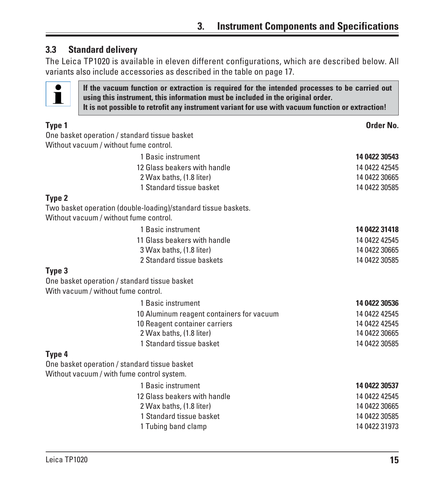### <span id="page-13-0"></span>**3.3 Standard delivery**

The Leica TP1020 is available in eleven different configurations, which are described below. All variants also include accessories as described in the table on page 17.



**If the vacuum function or extraction is required for the intended processes to be carried out using this instrument, this information must be included in the original order. It is not possible to retrofit any instrument variant for use with vacuum function or extraction!**

| Type 1                              |                                                                                                          | Order No.     |
|-------------------------------------|----------------------------------------------------------------------------------------------------------|---------------|
|                                     | One basket operation / standard tissue basket                                                            |               |
|                                     | Without vacuum / without fume control.                                                                   |               |
|                                     | 1 Basic instrument                                                                                       | 14 0422 30543 |
|                                     | 12 Glass beakers with handle                                                                             | 14 0422 42545 |
|                                     | 2 Wax baths, (1.8 liter)                                                                                 | 14 0422 30665 |
|                                     | 1 Standard tissue basket                                                                                 | 14 0422 30585 |
| Type 2                              |                                                                                                          |               |
|                                     | Two basket operation (double-loading)/standard tissue baskets.<br>Without vacuum / without fume control. |               |
|                                     | 1 Basic instrument                                                                                       | 14 0422 31418 |
|                                     | 11 Glass beakers with handle                                                                             | 14 0422 42545 |
|                                     | 3 Wax baths, (1.8 liter)                                                                                 | 14 0422 30665 |
|                                     | 2 Standard tissue baskets                                                                                | 14 0422 30585 |
| Type 3                              |                                                                                                          |               |
|                                     | One basket operation / standard tissue basket                                                            |               |
| With vacuum / without fume control. |                                                                                                          |               |
|                                     | 1 Basic instrument                                                                                       | 14 0422 30536 |
|                                     | 10 Aluminum reagent containers for vacuum                                                                | 14 0422 42545 |
|                                     | 10 Reagent container carriers                                                                            | 14 0422 42545 |
|                                     | 2 Wax baths, (1.8 liter)                                                                                 | 14 0422 30665 |
|                                     | 1 Standard tissue basket                                                                                 | 14 0422 30585 |
| Type 4                              |                                                                                                          |               |
|                                     | One basket operation / standard tissue basket                                                            |               |
|                                     | Without vacuum / with fume control system.                                                               |               |
|                                     | 1 Basic instrument                                                                                       | 14 0422 30537 |
|                                     | 12 Glass beakers with handle                                                                             | 14 0422 42545 |
|                                     | 2 Wax baths, (1.8 liter)                                                                                 | 14 0422 30665 |
|                                     | 1 Standard tissue basket                                                                                 | 14 0422 30585 |
|                                     | 1 Tubing band clamp                                                                                      | 14 0422 31973 |
|                                     |                                                                                                          |               |
|                                     |                                                                                                          |               |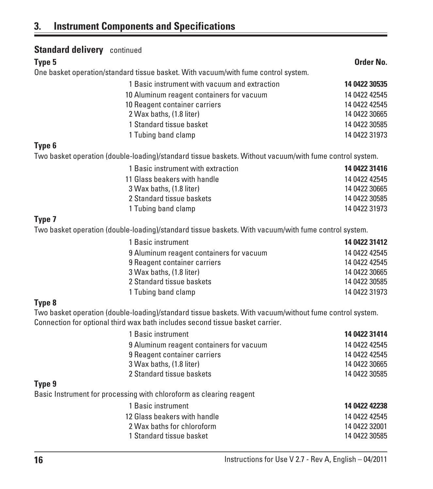## **3. Instrument Components and Specifications**

| <b>Standard delivery</b> continued                                                                                                                                                       |               |
|------------------------------------------------------------------------------------------------------------------------------------------------------------------------------------------|---------------|
| Type 5                                                                                                                                                                                   | Order No.     |
| One basket operation/standard tissue basket. With vacuum/with fume control system.                                                                                                       |               |
| 1 Basic instrument with vacuum and extraction                                                                                                                                            | 14 0422 30535 |
| 10 Aluminum reagent containers for vacuum                                                                                                                                                | 14 0422 42545 |
| 10 Reagent container carriers                                                                                                                                                            | 14 0422 42545 |
| 2 Wax baths, (1.8 liter)                                                                                                                                                                 | 14 0422 30665 |
| 1 Standard tissue basket                                                                                                                                                                 | 14 0422 30585 |
| 1 Tubing band clamp                                                                                                                                                                      | 14 0422 31973 |
| Type 6                                                                                                                                                                                   |               |
| Two basket operation (double-loading)/standard tissue baskets. Without vacuum/with fume control system.                                                                                  |               |
| 1 Basic instrument with extraction                                                                                                                                                       | 14 0422 31416 |
| 11 Glass beakers with handle                                                                                                                                                             | 14 0422 42545 |
| 3 Wax baths, (1.8 liter)                                                                                                                                                                 | 14 0422 30665 |
| 2 Standard tissue baskets                                                                                                                                                                | 14 0422 30585 |
| 1 Tubing band clamp                                                                                                                                                                      | 14 0422 31973 |
| Type 7                                                                                                                                                                                   |               |
| Two basket operation (double-loading)/standard tissue baskets. With vacuum/with fume control system.                                                                                     |               |
| 1 Basic instrument                                                                                                                                                                       | 14 0422 31412 |
| 9 Aluminum reagent containers for vacuum                                                                                                                                                 | 14 0422 42545 |
| 9 Reagent container carriers                                                                                                                                                             | 14 0422 42545 |
| 3 Wax baths, (1.8 liter)                                                                                                                                                                 | 14 0422 30665 |
| 2 Standard tissue baskets                                                                                                                                                                | 14 0422 30585 |
| 1 Tubing band clamp                                                                                                                                                                      | 14 0422 31973 |
| Type 8                                                                                                                                                                                   |               |
| Two basket operation (double-loading)/standard tissue baskets. With vacuum/without fume control system.<br>Connection for optional third wax bath includes second tissue basket carrier. |               |
| 1 Basic instrument                                                                                                                                                                       | 14 0422 31414 |
| 9 Aluminum reagent containers for vacuum                                                                                                                                                 | 14 0422 42545 |
| 9 Reagent container carriers                                                                                                                                                             | 14 0422 42545 |
| 3 Wax baths, (1.8 liter)                                                                                                                                                                 | 14 0422 30665 |
| 2 Standard tissue baskets                                                                                                                                                                | 14 0422 30585 |
| Type 9<br>Basic Instrument for processing with chloroform as clearing reagent                                                                                                            |               |
| 1 Basic instrument                                                                                                                                                                       | 14 0422 42238 |
| 12 Glass beakers with handle                                                                                                                                                             | 14 0422 42545 |
| 2 Wax baths for chloroform                                                                                                                                                               | 14 0422 32001 |
| 1 Standard tissue basket                                                                                                                                                                 | 14 0422 30585 |
| Instructions for Use V 2.7 - Rev A, English - 04/2011<br>16                                                                                                                              |               |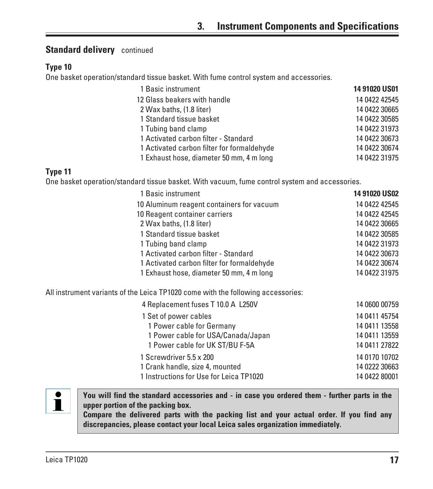### **Standard delivery** continued

### **Type 10**

One basket operation/standard tissue basket. With fume control system and accessories.

| 1 Basic instrument                         | 14 91020 US01 |
|--------------------------------------------|---------------|
| 12 Glass beakers with handle               | 14 0422 42545 |
| 2 Wax baths, (1.8 liter)                   | 14 0422 30665 |
| 1 Standard tissue basket                   | 14 0422 30585 |
| 1 Tubing band clamp                        | 14 0422 31973 |
| 1 Activated carbon filter - Standard       | 14 0422 30673 |
| 1 Activated carbon filter for formaldehyde | 14 0422 30674 |
| 1 Exhaust hose, diameter 50 mm, 4 m long   | 14 0422 31975 |

### **Type 11**

One basket operation/standard tissue basket. With vacuum, fume control system and accessories.

| 1 Basic instrument                         | <b>14 91020 US02</b> |
|--------------------------------------------|----------------------|
| 10 Aluminum reagent containers for vacuum  | 14 0422 42545        |
| 10 Reagent container carriers              | 14 0422 42545        |
| 2 Wax baths, (1.8 liter)                   | 14 0422 30665        |
| 1 Standard tissue basket                   | 14 0422 30585        |
| 1 Tubing band clamp                        | 14 0422 31973        |
| 1 Activated carbon filter - Standard       | 14 0422 30673        |
| 1 Activated carbon filter for formaldehyde | 14 0422 30674        |
| 1 Exhaust hose, diameter 50 mm, 4 m long   | 14 0422 31975        |

All instrument variants of the Leica TP1020 come with the following accessories:

| 4 Replacement fuses T 10.0 A L250V      | 14 0600 00759 |
|-----------------------------------------|---------------|
| 1 Set of power cables                   | 14 0411 45754 |
| 1 Power cable for Germany               | 14 0411 13558 |
| 1 Power cable for USA/Canada/Japan      | 14 0411 13559 |
| 1 Power cable for UK ST/BU F-5A         | 14 0411 27822 |
| 1 Screwdriver 5.5 x 200                 | 14 0170 10702 |
| 1 Crank handle, size 4, mounted         | 14 0222 30663 |
| 1 Instructions for Use for Leica TP1020 | 14 0422 80001 |

# $\mathbf i$

**You will find the standard accessories and - in case you ordered them - further parts in the upper portion of the packing box.**

**Compare the delivered parts with the packing list and your actual order. If you find any discrepancies, please contact your local Leica sales organization immediately.**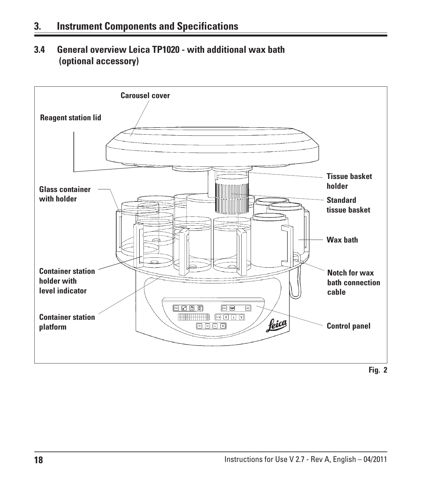<span id="page-16-0"></span>**3.4 General overview Leica TP1020 - with additional wax bath (optional accessory)**

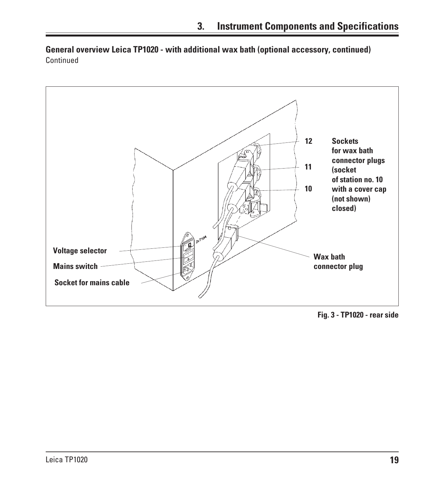**General overview Leica TP1020 - with additional wax bath (optional accessory, continued)** Continued



**Fig. 3 - TP1020 - rear side**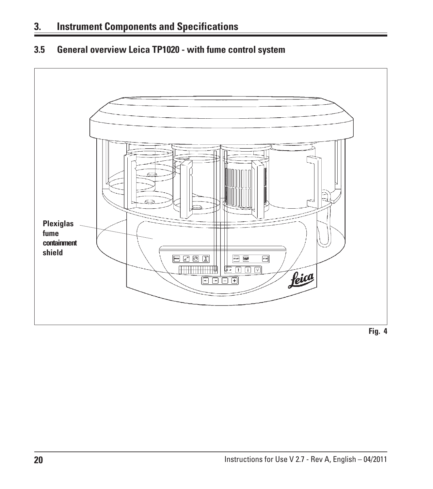### <span id="page-18-0"></span>**3.5 General overview Leica TP1020 - with fume control system**

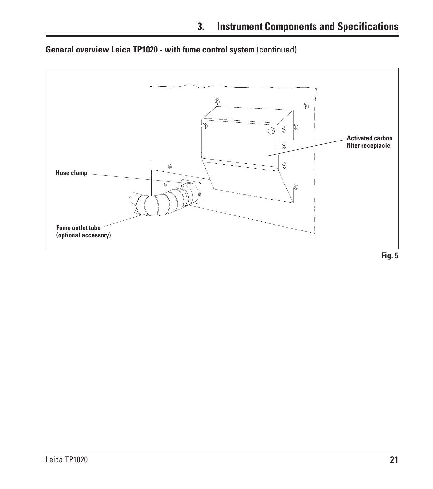

**General overview Leica TP1020 - with fume control system** (continued)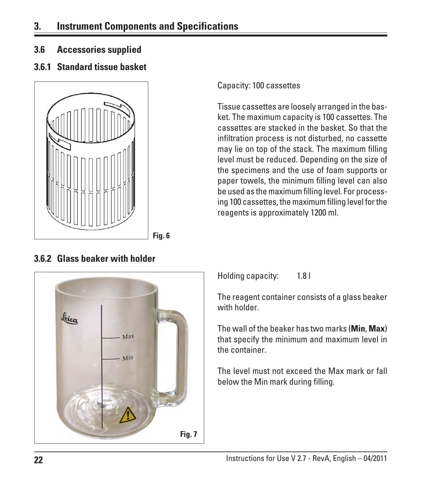<span id="page-20-0"></span>**3.6 Accessories supplied**

### **3.6.1 Standard tissue basket**



**3.6.2 Glass beaker with holder**

Capacity: 100 cassettes

Tissue cassettes are loosely arranged in the basket. The maximum capacity is 100 cassettes. The cassettes are stacked in the basket. So that the infiltration process is not disturbed, no cassette may lie on top of the stack. The maximum filling level must be reduced. Depending on the size of the specimens and the use of foam supports or paper towels, the minimum filling level can also be used as the maximum filling level. For processing 100 cassettes, the maximum filling level for the reagents is approximately 1200 ml.



Holding capacity: 1.8 l

The reagent container consists of a glass beaker with holder.

The wall of the beaker has two marks (**Min**, **Max**) that specify the minimum and maximum level in the container.

The level must not exceed the Max mark or fall below the Min mark during filling.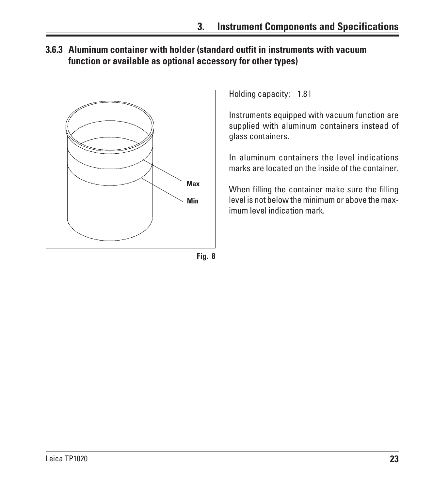<span id="page-21-0"></span>**3.6.3 Aluminum container with holder (standard outfit in instruments with vacuum function or available as optional accessory for other types)**



Holding capacity: 1.8 l

Instruments equipped with vacuum function are supplied with aluminum containers instead of glass containers.

In aluminum containers the level indications marks are located on the inside of the container.

When filling the container make sure the filling level is not below the minimum or above the maximum level indication mark.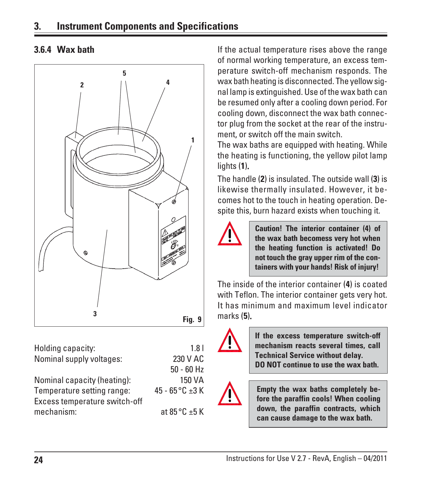### <span id="page-22-0"></span>**3. Instrument Components and Specifications**



| Holding capacity:             | 1.8 <sub>1</sub>       |
|-------------------------------|------------------------|
| Nominal supply voltages:      | 230 V AC               |
|                               | $50 - 60$ Hz           |
| Nominal capacity (heating):   | 150 VA                 |
| Temperature setting range:    | 45 - 65 °C $\pm$ 3 K   |
| Excess temperature switch-off |                        |
| mechanism:                    | at $85^{\circ}$ C ±5 K |
|                               |                        |

**3.6.4 Wax bath** If the actual temperature rises above the range of normal working temperature, an excess temperature switch-off mechanism responds. The wax bath heating is disconnected. The yellow signal lamp is extinguished. Use of the wax bath can be resumed only after a cooling down period. For cooling down, disconnect the wax bath connector plug from the socket at the rear of the instrument, or switch off the main switch.

> The wax baths are equipped with heating. While the heating is functioning, the yellow pilot lamp lights (**1**).

> The handle (**2**) is insulated. The outside wall (**3**) is likewise thermally insulated. However, it becomes hot to the touch in heating operation. Despite this, burn hazard exists when touching it.



**Caution! The interior container (4) of the wax bath becomess very hot when the heating function is activated! Do not touch the gray upper rim of the containers with your hands! Risk of injury!**

The inside of the interior container (**4**) is coated with Teflon. The interior container gets very hot. It has minimum and maximum level indicator marks (**5**).



**If the excess temperature switch-off mechanism reacts several times, call Technical Service without delay. DO NOT continue to use the wax bath.**



**Empty the wax baths completely before the paraffin cools! When cooling down, the paraffin contracts, which can cause damage to the wax bath.**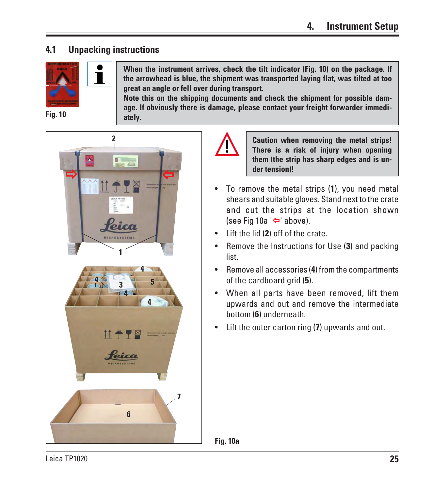### <span id="page-23-0"></span>**4.1 Unpacking instructions**

T



**When the instrument arrives, check the tilt indicator (Fig. 10) on the package. If the arrowhead is blue, the shipment was transported laying flat, was tilted at too great an angle or fell over during transport.**

**Note this on the shipping documents and check the shipment for possible damage. If obviously there is damage, please contact your freight forwarder immedi-**







**Caution when removing the metal strips! There is a risk of injury when opening them (the strip has sharp edges and is under tension)!**

- To remove the metal strips (**1**), you need metal shears and suitable gloves. Stand next to the crate and cut the strips at the location shown (see Fig 10a  $\leftarrow$  above).
- Lift the lid (**2**) off of the crate.
- Remove the Instructions for Use (**3**) and packing list.
- Remove all accessories (**4**) from the compartments of the cardboard grid (**5**).
- When all parts have been removed, lift them upwards and out and remove the intermediate bottom (**6**) underneath.
- Lift the outer carton ring (**7**) upwards and out.

**Fig. 10a**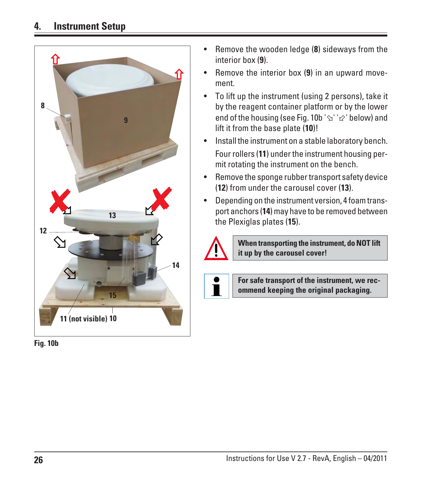

**Fig. 10b**

- Remove the wooden ledge (**8**) sideways from the interior box (**9**).
- Remove the interior box (**9**) in an upward movement.
- To lift up the instrument (using 2 persons), take it by the reagent container platform or by the lower end of the housing (see Fig. 10b ' $\gamma'$ '  $\varphi$ ' below) and lift it from the base plate (**10**)!
- Install the instrument on a stable laboratory bench. Four rollers (**11**) under the instrument housing permit rotating the instrument on the bench.
- Remove the sponge rubber transport safety device (**12**) from under the carousel cover (**13**).
- Depending on the instrument version, 4 foam transport anchors (**14**) may have to be removed between the Plexiglas plates (**15**).



**When transporting the instrument, do NOT lift it up by the carousel cover!**



**For safe transport of the instrument, we recommend keeping the original packaging.**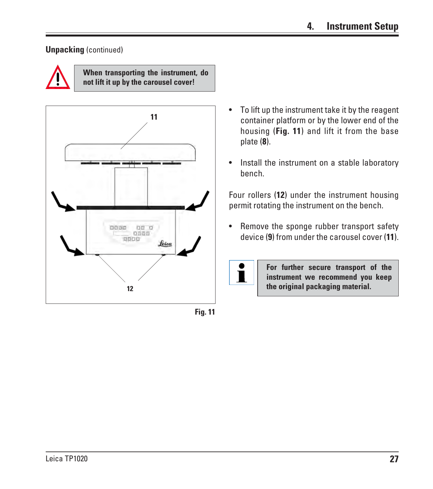### **Unpacking** (continued)



**When transporting the instrument, do not lift it up by the carousel cover!**



**Fig. 11**

- To lift up the instrument take it by the reagent container platform or by the lower end of the housing (**Fig. 11**) and lift it from the base plate (**8**).
- Install the instrument on a stable laboratory bench.

Four rollers (**12**) under the instrument housing permit rotating the instrument on the bench.

• Remove the sponge rubber transport safety device (**9**) from under the carousel cover (**11**).



**For further secure transport of the instrument we recommend you keep the original packaging material.**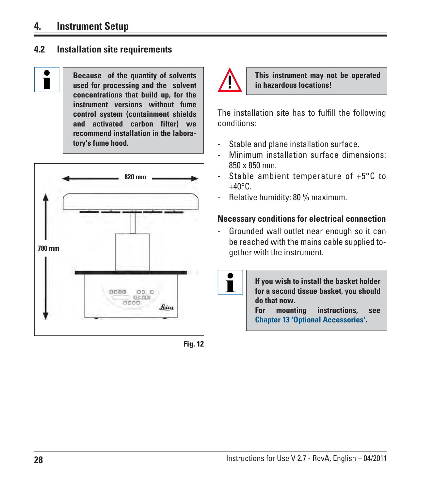### <span id="page-26-0"></span>**4. Instrument Setup**

### **4.2 Installation site requirements**



**Because of the quantity of solvents used for processing and the solvent concentrations that build up, for the instrument versions without fume control system (containment shields and activated carbon filter) we recommend installation in the laboratory's fume hood.**



**Fig. 12**



 $\mathbf I$ 

**This instrument may not be operated in hazardous locations!**

The installation site has to fulfill the following conditions:

- Stable and plane installation surface.
- Minimum installation surface dimensions: 850 x 850 mm.
- Stable ambient temperature of +5°C to  $+40^{\circ}$ C.
- Relative humidity: 80 % maximum.

### **Necessary conditions for electrical connection**

- Grounded wall outlet near enough so it can be reached with the mains cable supplied together with the instrument.

> **If you wish to install the basket holder for a second tissue basket, you should do that now. For mounting instructions, see Chapter 13 'Optional Accessories'.**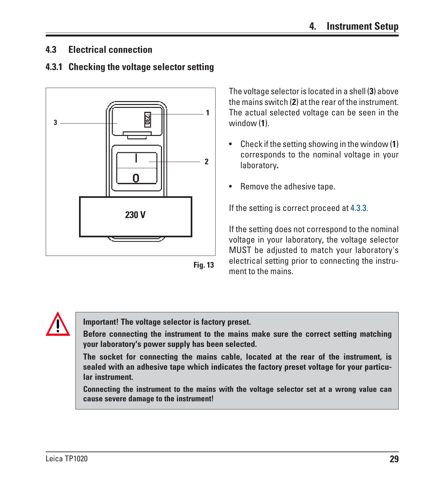### <span id="page-27-0"></span>**4.3 Electrical connection**

### **4.3.1 Checking the voltage selector setting**



**Fig. 13**

The voltage selector is located in a shell (**3**) above the mains switch (**2**) at the rear of the instrument. The actual selected voltage can be seen in the window (**1**).

- Check if the setting showing in the window (**1**) corresponds to the nominal voltage in your laboratory.
- Remove the adhesive tape.

If the setting is correct proceed at 4.3.3.

If the setting does not correspond to the nominal voltage in your laboratory, the voltage selector MUST be adjusted to match your laboratory's electrical setting prior to connecting the instrument to the mains.

**Important! The voltage selector is factory preset.**

**Before connecting the instrument to the mains make sure the correct setting matching your laboratory's power supply has been selected.**

**The socket for connecting the mains cable, located at the rear of the instrument, is sealed with an adhesive tape which indicates the factory preset voltage for your particular instrument.**

**Connecting the instrument to the mains with the voltage selector set at a wrong value can cause severe damage to the instrument!**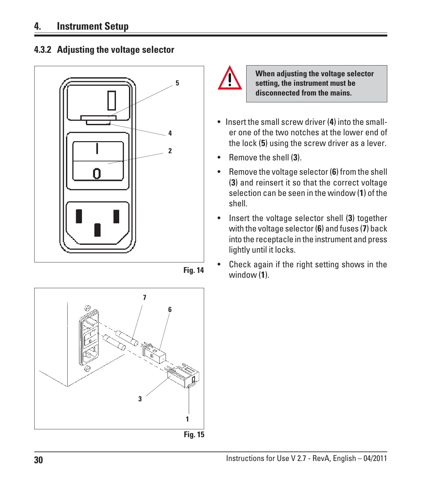### <span id="page-28-0"></span>**4. Instrument Setup**











**When adjusting the voltage selector setting, the instrument must be disconnected from the mains.**

- Insert the small screw driver (**4**) into the smaller one of the two notches at the lower end of the lock (**5**) using the screw driver as a lever.
- Remove the shell (**3**).
- Remove the voltage selector (**6**) from the shell (**3**) and reinsert it so that the correct voltage selection can be seen in the window (**1**) of the shell.
- Insert the voltage selector shell (**3**) together with the voltage selector (**6**) and fuses (**7**) back into the receptacle in the instrument and press lightly until it locks.
- Check again if the right setting shows in the window (**1**).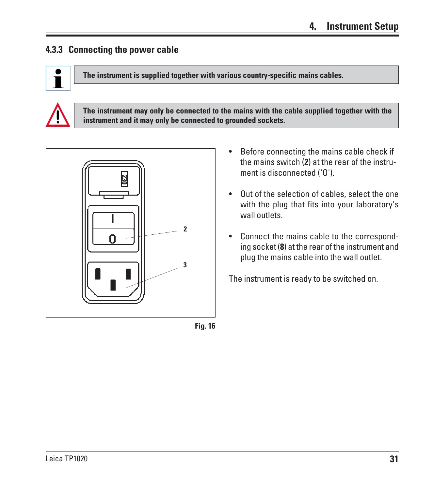### <span id="page-29-0"></span>**4.3.3 Connecting the power cable**



**The instrument is supplied together with various country-specific mains cables.**



**The instrument may only be connected to the mains with the cable supplied together with the instrument and it may only be connected to grounded sockets.**





- Before connecting the mains cable check if the mains switch (**2**) at the rear of the instrument is disconnected ('O').
- Out of the selection of cables, select the one with the plug that fits into your laboratory's wall outlets.
- Connect the mains cable to the corresponding socket (**8**) at the rear of the instrument and plug the mains cable into the wall outlet.

The instrument is ready to be switched on.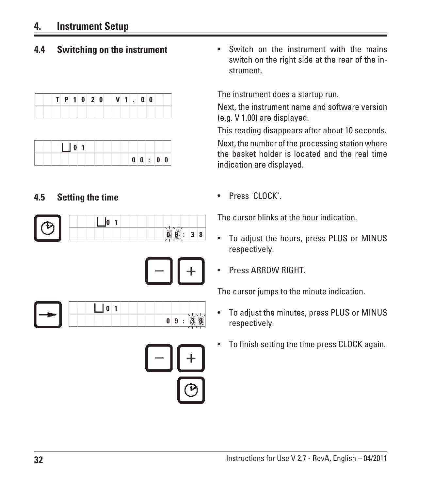### <span id="page-30-0"></span>**4. Instrument Setup**

|  |  |  |  | $T$ P 1 0 2 0 V 1 0 0 |  |  |  |
|--|--|--|--|-----------------------|--|--|--|
|  |  |  |  |                       |  |  |  |

|  |  | 0 0 : 0 0 |  |
|--|--|-----------|--|

### **4.5 Setting the time**







**4.4 Switching on the instrument** • Switch on the instrument with the mains switch on the right side at the rear of the instrument.

The instrument does a startup run.

Next, the instrument name and software version (e.g. V 1.00) are displayed.

This reading disappears after about 10 seconds. Next, the number of the processing station where the basket holder is located and the real time indication are displayed.

• Press 'CLOCK'.

The cursor blinks at the hour indication.

- To adjust the hours, press PLUS or MINUS respectively.
- Press ARROW RIGHT.

The cursor jumps to the minute indication.

- To adjust the minutes, press PLUS or MINUS respectively.
- To finish setting the time press CLOCK again.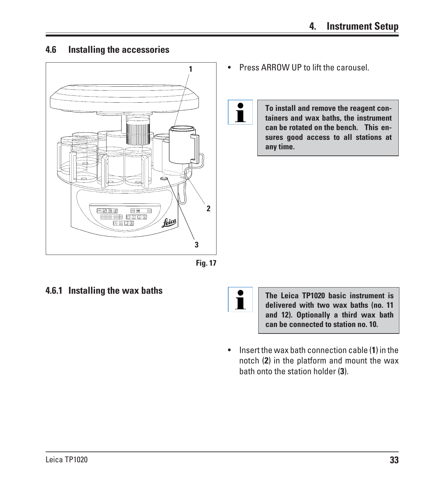### <span id="page-31-0"></span>**4.6 Installing the accessories**



- **1** Press ARROW UP to lift the carousel.
	- **To install and remove the reagent containers and wax baths, the instrument can be rotated on the bench. This ensures good access to all stations at any time.**



 $\blacksquare$ 

**4.6.1 Installing the wax baths** The Leica TP1020 basic instrument is **delivered with two wax baths (no. 11 and 12). Optionally a third wax bath can be connected to station no. 10.**

> • Insert the wax bath connection cable (**1**) in the notch (**2**) in the platform and mount the wax bath onto the station holder (**3**).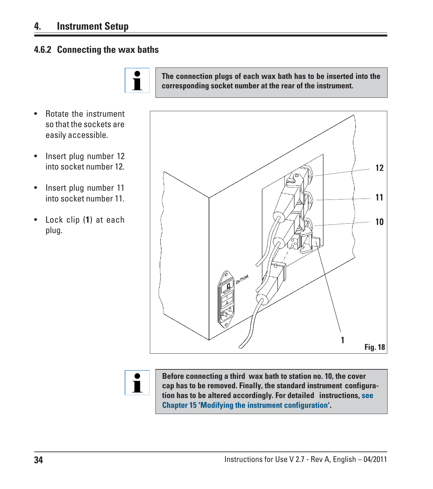### <span id="page-32-0"></span>**4. Instrument Setup**

• Rotate the instrument so that the sockets are easily accessible.

• Insert plug number 12 into socket number 12.

• Insert plug number 11 into socket number 11.

• Lock clip (**1**) at each

plug.

### **4.6.2 Connecting the wax baths**



**The connection plugs of each wax bath has to be inserted into the corresponding socket number at the rear of the instrument.**



**Before connecting a third wax bath to station no. 10, the cover cap has to be removed. Finally, the standard instrument configuration has to be altered accordingly. For detailed instructions, see Chapter 15 'Modifying the instrument configuration'.**

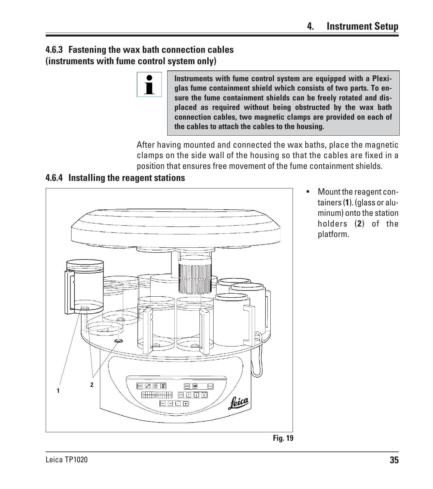### <span id="page-33-0"></span>**4.6.3 Fastening the wax bath connection cables (instruments with fume control system only)**



**Instruments with fume control system are equipped with a Plexiglas fume containment shield which consists of two parts. To ensure the fume containment shields can be freely rotated and displaced as required without being obstructed by the wax bath connection cables, two magnetic clamps are provided on each of the cables to attach the cables to the housing.**

After having mounted and connected the wax baths, place the magnetic clamps on the side wall of the housing so that the cables are fixed in a position that ensures free movement of the fume containment shields.

### **4.6.4 Installing the reagent stations**



• Mount the reagent containers (**1**). (glass or aluminum) onto the station holders (**2**) of the platform.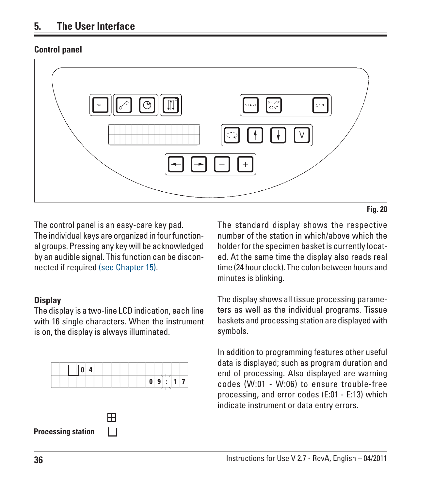### <span id="page-34-0"></span>**Control panel**



**Fig. 20**

The control panel is an easy-care key pad. The individual keys are organized in four functional groups. Pressing any key will be acknowledged by an audible signal. This function can be disconnected if required (see Chapter 15).

### **Display**

The display is a two-line LCD indication, each line with 16 single characters. When the instrument is on, the display is always illuminated.



The standard display shows the respective number of the station in which/above which the holder for the specimen basket is currently located. At the same time the display also reads real time (24 hour clock). The colon between hours and minutes is blinking.

The display shows all tissue processing parameters as well as the individual programs. Tissue baskets and processing station are displayed with symbols.

In addition to programming features other useful data is displayed; such as program duration and end of processing. Also displayed are warning codes (W:01 - W:06) to ensure trouble-free processing, and error codes (E:01 - E:13) which indicate instrument or data entry errors.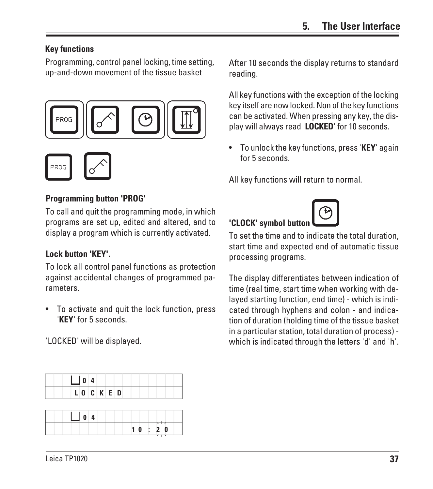### **Key functions**

**ROG** 

Programming, control panel locking, time setting, up-and-down movement of the tissue basket



### **Programming button 'PROG'**

To call and quit the programming mode, in which programs are set up, edited and altered, and to display a program which is currently activated.

### **Lock button 'KEY'.**

To lock all control panel functions as protection against accidental changes of programmed parameters.

• To activate and quit the lock function, press '**KEY**' for 5 seconds.

'LOCKED' will be displayed.

| After 10 seconds the display returns to standard |  |
|--------------------------------------------------|--|
| reading.                                         |  |

All key functions with the exception of the locking key itself are now locked. Non of the key functions can be activated. When pressing any key, the display will always read '**LOCKED**' for 10 seconds.

• To unlock the key functions, press '**KEY**' again for 5 seconds.

All key functions will return to normal.

## 'CLOCK' symbol buttor



The display differentiates between indication of time (real time, start time when working with delayed starting function, end time) - which is indicated through hyphens and colon - and indication of duration (holding time of the tissue basket in a particular station, total duration of process) which is indicated through the letters 'd' and 'h'.

|  | $\begin{array}{ c c c c c } \hline 0 & 4 \\ \hline \end{array}$ |        |  |  |  |  |
|--|-----------------------------------------------------------------|--------|--|--|--|--|
|  |                                                                 | LOCKED |  |  |  |  |

| $\Box$ 0 4 |       |
|------------|-------|
|            | 10:20 |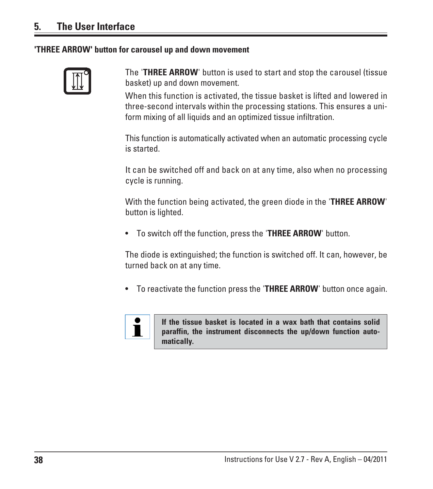#### **'THREE ARROW' button for carousel up and down movement**



The '**THREE ARROW**' button is used to start and stop the carousel (tissue basket) up and down movement.

When this function is activated, the tissue basket is lifted and lowered in three-second intervals within the processing stations. This ensures a uniform mixing of all liquids and an optimized tissue infiltration.

This function is automatically activated when an automatic processing cycle is started.

It can be switched off and back on at any time, also when no processing cycle is running.

With the function being activated, the green diode in the '**THREE ARROW**' button is lighted.

• To switch off the function, press the '**THREE ARROW**' button.

The diode is extinguished; the function is switched off. It can, however, be turned back on at any time.

• To reactivate the function press the '**THREE ARROW**' button once again.



**If the tissue basket is located in a wax bath that contains solid paraffin, the instrument disconnects the up/down function automatically.**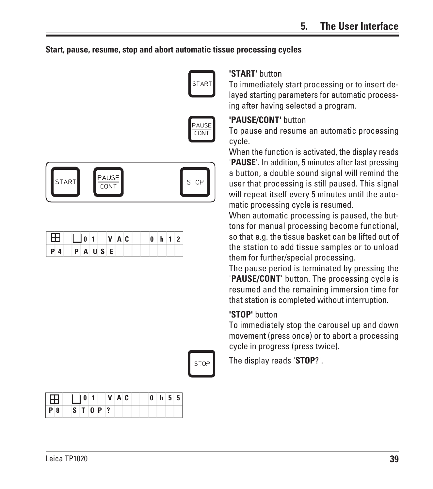## **Start, pause, resume, stop and abort automatic tissue processing cycles**





| $\Box$ $\Box$ $\Box$ $\Box$ $\Box$ $\Box$ $\Box$ |             |  |  |  | $0$ $h$ 1 2 |  |  |
|--------------------------------------------------|-------------|--|--|--|-------------|--|--|
| $P_4$                                            | $P$ A U S E |  |  |  |             |  |  |



|     | Æ. |  |       |  |  |  |  |  | $0$ h 5 5 |
|-----|----|--|-------|--|--|--|--|--|-----------|
| P 8 |    |  | STOP? |  |  |  |  |  |           |

#### **'START'** button

To immediately start processing or to insert delayed starting parameters for automatic processing after having selected a program.

#### **'PAUSE/CONT'** button

To pause and resume an automatic processing cycle.

When the function is activated, the display reads '**PAUSE**'. In addition, 5 minutes after last pressing a button, a double sound signal will remind the user that processing is still paused. This signal will repeat itself every 5 minutes until the automatic processing cycle is resumed.

When automatic processing is paused, the buttons for manual processing become functional, so that e.g. the tissue basket can be lifted out of the station to add tissue samples or to unload them for further/special processing.

The pause period is terminated by pressing the '**PAUSE/CONT**' button. The processing cycle is resumed and the remaining immersion time for that station is completed without interruption.

#### **'STOP'** button

To immediately stop the carousel up and down movement (press once) or to abort a processing cycle in progress (press twice).

The display reads '**STOP**?'.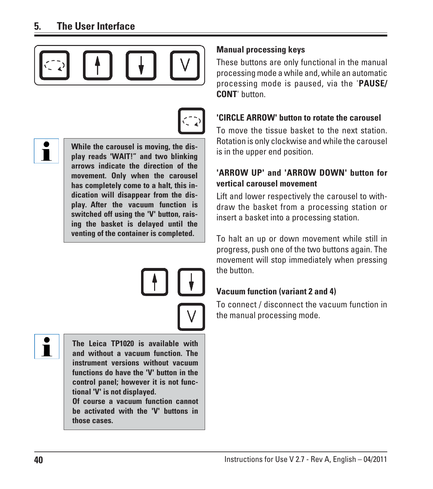



Ĭ

**While the carousel is moving, the display reads 'WAIT!" and two blinking arrows indicate the direction of the movement. Only when the carousel has completely come to a halt, this indication will disappear from the display. After the vacuum function is switched off using the 'V' button, raising the basket is delayed until the venting of the container is completed.**

Ť

**The Leica TP1020 is available with and without a vacuum function. The instrument versions without vacuum functions do have the 'V' button in the control panel; however it is not functional 'V' is not displayed.**

**Of course a vacuum function cannot be activated with the 'V' buttons in those cases.**

## **Manual processing keys**

These buttons are only functional in the manual processing mode a while and, while an automatic processing mode is paused, via the '**PAUSE/ CONT**' button.

# **'CIRCLE ARROW' button to rotate the carousel**

To move the tissue basket to the next station. Rotation is only clockwise and while the carousel is in the upper end position.

## **'ARROW UP' and 'ARROW DOWN' button for vertical carousel movement**

Lift and lower respectively the carousel to withdraw the basket from a processing station or insert a basket into a processing station.

To halt an up or down movement while still in progress, push one of the two buttons again. The movement will stop immediately when pressing the button.

# **Vacuum function (variant 2 and 4)**

To connect / disconnect the vacuum function in the manual processing mode.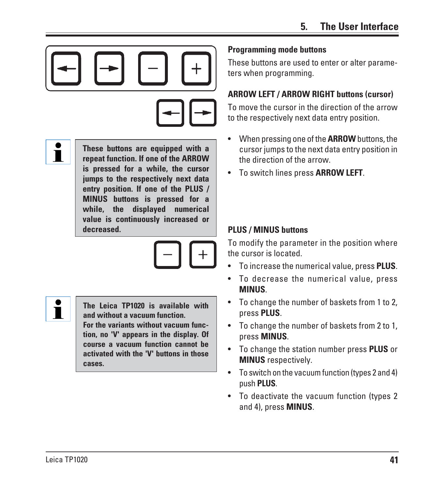

Ĭ

**These buttons are equipped with a repeat function. If one of the ARROW is pressed for a while, the cursor jumps to the respectively next data entry position. If one of the PLUS / MINUS buttons is pressed for a while, the displayed numerical value is continuously increased or decreased.**





**The Leica TP1020 is available with and without a vacuum function. For the variants without vacuum func-**

**tion, no 'V' appears in the display. Of course a vacuum function cannot be activated with the 'V' buttons in those cases.**

## **Programming mode buttons**

These buttons are used to enter or alter parameters when programming.

# **ARROW LEFT / ARROW RIGHT buttons (cursor)**

To move the cursor in the direction of the arrow to the respectively next data entry position.

- When pressing one of the **ARROW** buttons, the cursor jumps to the next data entry position in the direction of the arrow.
- To switch lines press **ARROW LEFT**.

## **PLUS / MINUS buttons**

To modify the parameter in the position where the cursor is located.

- To increase the numerical value, press **PLUS**.
- To decrease the numerical value, press **MINUS**.
- To change the number of baskets from 1 to 2, press **PLUS**.
- To change the number of baskets from 2 to 1, press **MINUS**.
- To change the station number press **PLUS** or **MINUS** respectively.
- To switch on the vacuum function (types 2 and 4) push **PLUS**.
- To deactivate the vacuum function (types 2 and 4), press **MINUS**.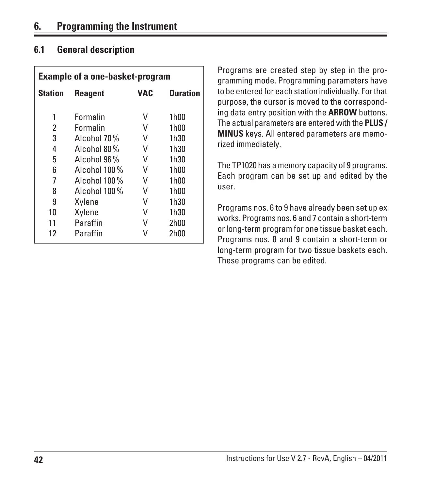# **6.1 General description**

|                | <b>Example of a one-basket-program</b> |            |                 |
|----------------|----------------------------------------|------------|-----------------|
| <b>Station</b> | <b>Reagent</b>                         | <b>VAC</b> | <b>Duration</b> |
| 1              | Formalin                               | V          | 1h00            |
| 2              | Formalin                               | V          | 1h00            |
| 3              | Alcohol 70%                            | V          | 1h30            |
| 4              | Alcohol 80%                            | V          | 1h30            |
| 5              | Alcohol 96 %                           | V          | 1h30            |
| 6              | Alcohol 100 %                          | V          | 1h00            |
| 7              | Alcohol 100%                           | V          | 1h00            |
| 8              | Alcohol 100 %                          | V          | 1h00            |
| 9              | Xylene                                 | V          | 1h30            |
| 10             | Xylene                                 | V          | 1h30            |
| 11             | Paraffin                               | v          | 2h00            |
| 12             | Paraffin                               |            | 2h00            |

Programs are created step by step in the programming mode. Programming parameters have to be entered for each station individually. For that purpose, the cursor is moved to the corresponding data entry position with the **ARROW** buttons. The actual parameters are entered with the **PLUS / MINUS** keys. All entered parameters are memorized immediately.

The TP1020 has a memory capacity of 9 programs. Each program can be set up and edited by the user.

Programs nos. 6 to 9 have already been set up ex works. Programs nos. 6 and 7 contain a short-term or long-term program for one tissue basket each. Programs nos. 8 and 9 contain a short-term or long-term program for two tissue baskets each. These programs can be edited.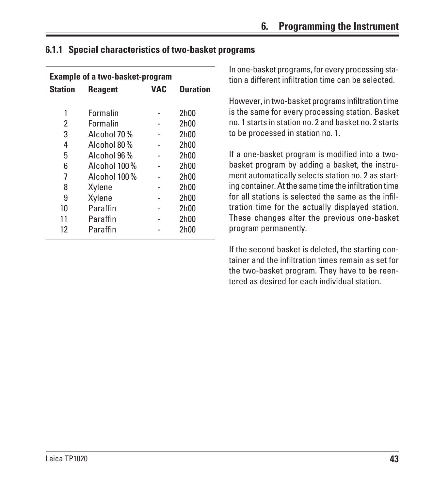# **6.1.1 Special characteristics of two-basket programs**

|                | <b>Example of a two-basket-program</b> |            |                 |
|----------------|----------------------------------------|------------|-----------------|
| <b>Station</b> | <b>Reagent</b>                         | <b>VAC</b> | <b>Duration</b> |
|                |                                        |            |                 |
| 1              | Formalin                               |            | 2h00            |
| 2              | Formalin                               |            | 2h00            |
| 3              | Alcohol 70 %                           |            | 2h00            |
| 4              | Alcohol 80%                            |            | 2h00            |
| 5              | Alcohol 96 %                           |            | 2h00            |
| 6              | Alcohol 100 %                          |            | 2h00            |
| 7              | Alcohol 100%                           |            | 2h00            |
| 8              | Xylene                                 |            | 2h00            |
| 9              | Xylene                                 |            | 2h00            |
| 10             | Paraffin                               |            | 2h00            |
| 11             | Paraffin                               |            | 2h00            |
| 12             | Paraffin                               |            | 2h00            |

In one-basket programs, for every processing station a different infiltration time can be selected.

However, in two-basket programs infiltration time is the same for every processing station. Basket no. 1 starts in station no. 2 and basket no. 2 starts to be processed in station no. 1.

If a one-basket program is modified into a twobasket program by adding a basket, the instrument automatically selects station no. 2 as starting container. At the same time the infiltration time for all stations is selected the same as the infiltration time for the actually displayed station. These changes alter the previous one-basket program permanently.

If the second basket is deleted, the starting container and the infiltration times remain as set for the two-basket program. They have to be reentered as desired for each individual station.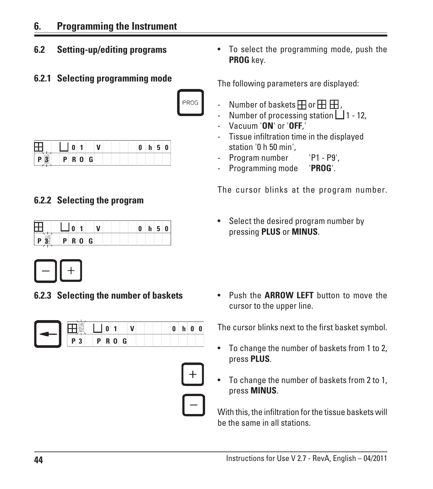# **6. Programming the Instrument**

**6.2 Setting-up/editing programs**

# **6.2.1 Selecting programming mode**



|  |       |   |   |  |  | -- |  |
|--|-------|---|---|--|--|----|--|
|  | D<br> | O | G |  |  |    |  |

# **6.2.2 Selecting the program**

|  |  |             |  |  | n |  |
|--|--|-------------|--|--|---|--|
|  |  | <b>PROG</b> |  |  |   |  |



**6.2.3 Selecting the number of baskets**

|  |  | P R O G |  |  |  |
|--|--|---------|--|--|--|





• To select the programming mode, push the **PROG** key.

The following parameters are displayed:

- Number of baskets  $\boxplus$  or  $\boxplus$   $\boxplus$  ,
- Number of processing station  $\Box$  1 12,
- Vacuum '**ON**' or '**OFF**,'
- Tissue infiltration time in the displayed station '0 h 50 min',
- Program number 'P1 P9',
- Programming mode '**PROG**'.

The cursor blinks at the program number.

• Select the desired program number by pressing **PLUS** or **MINUS**.

• Push the **ARROW LEFT** button to move the cursor to the upper line.

The cursor blinks next to the first basket symbol.

- To change the number of baskets from 1 to 2, press **PLUS**.
- To change the number of baskets from 2 to 1, press **MINUS**.

With this, the infiltration for the tissue baskets will be the same in all stations.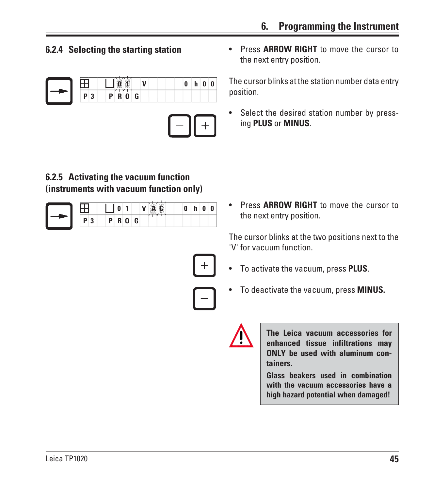



**6.2.5 Activating the vacuum function (instruments with vacuum function only)**

|   |             |        |   | Ξ, | 55 |  |
|---|-------------|--------|---|----|----|--|
| m | D<br>D<br>ш | n<br>u | G |    |    |  |

**6.2.4 Selecting the starting station** • Press **ARROW RIGHT** to move the cursor to the next entry position.

> The cursor blinks at the station number data entry position.

> Select the desired station number by pressing **PLUS** or **MINUS**.

> • Press **ARROW RIGHT** to move the cursor to the next entry position.

> The cursor blinks at the two positions next to the 'V' for vacuum function.



• To deactivate the vacuum, press **MINUS.**



**The Leica vacuum accessories for enhanced tissue infiltrations may ONLY be used with aluminum containers.**

**Glass beakers used in combination with the vacuum accessories have a high hazard potential when damaged!**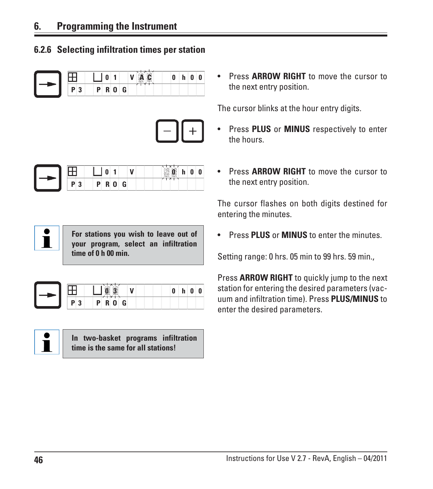## **6.2.6 Selecting infiltration times per station**





|   | -                               | nis.<br><b>Table</b><br>O<br>6<br>s.<br>щ<br>82<br><b>SEARCH</b> |
|---|---------------------------------|------------------------------------------------------------------|
| ю | G<br>в<br>ш<br>w<br>-<br>-<br>- | ᄌ                                                                |

 $\mathbf i$ **For stations you wish to leave out of your program, select an infiltration time of 0 h 00 min.**

|  |                  | щ |  |
|--|------------------|---|--|
|  | <b>ROG</b><br>P. |   |  |



• Press **ARROW RIGHT** to move the cursor to the next entry position.

The cursor blinks at the hour entry digits.

- Press **PLUS** or **MINUS** respectively to enter the hours.
- Press **ARROW RIGHT** to move the cursor to the next entry position.

The cursor flashes on both digits destined for entering the minutes.

• Press **PLUS** or **MINUS** to enter the minutes.

Setting range: 0 hrs. 05 min to 99 hrs. 59 min.,

Press **ARROW RIGHT** to quickly jump to the next station for entering the desired parameters (vacuum and infiltration time). Press **PLUS/MINUS** to enter the desired parameters.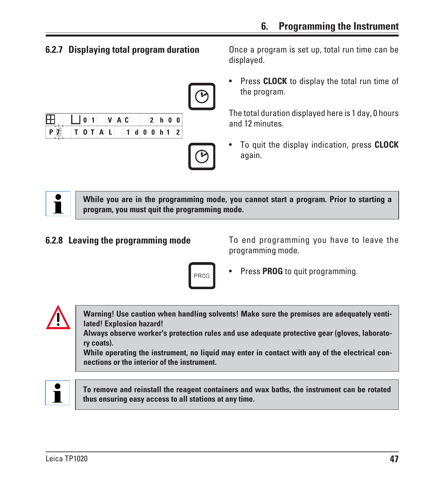

| ш   |  |  |  | $ V $ $A C$ |    | -21              |     |  |
|-----|--|--|--|-------------|----|------------------|-----|--|
| - I |  |  |  | 1.          | d. | $-4$ $+$ $0$ $+$ | h 1 |  |



**6.2.7 Displaying total program duration** Once a program is set up, total run time can be displayed.

> Press **CLOCK** to display the total run time of the program.

> The total duration displayed here is 1 day, 0 hours and 12 minutes.

> • To quit the display indication, press **CLOCK** again.



**While you are in the programming mode, you cannot start a program. Prior to starting a program, you must quit the programming mode.**

**6.2.8 Leaving the programming mode** To end programming you have to leave the programming mode.



• Press **PROG** to quit programming.



**Warning! Use caution when handling solvents! Make sure the premises are adequately ventilated! Explosion hazard!**

**Always observe worker's protection rules and use adequate protective gear (gloves, laboratory coats).**

**While operating the instrument, no liquid may enter in contact with any of the electrical connections or the interior of the instrument.**



**To remove and reinstall the reagent containers and wax baths, the instrument can be rotated thus ensuring easy access to all stations at any time.**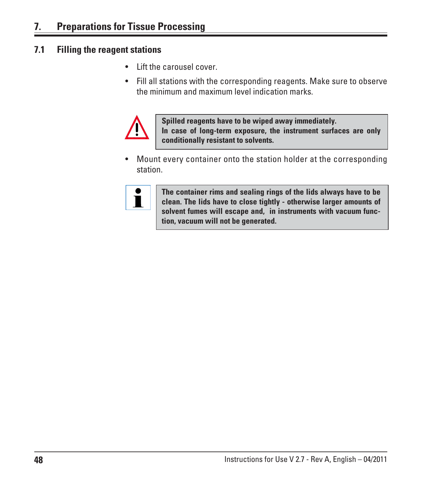# **7.1 Filling the reagent stations**

- Lift the carousel cover.
- Fill all stations with the corresponding reagents. Make sure to observe the minimum and maximum level indication marks.



**Spilled reagents have to be wiped away immediately. In case of long-term exposure, the instrument surfaces are only conditionally resistant to solvents.**

• Mount every container onto the station holder at the corresponding station.



**The container rims and sealing rings of the lids always have to be clean. The lids have to close tightly - otherwise larger amounts of solvent fumes will escape and, in instruments with vacuum function, vacuum will not be generated.**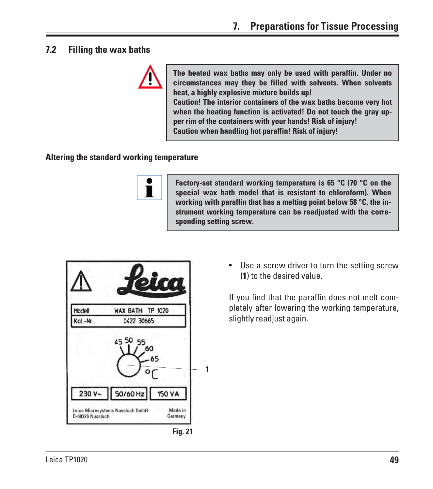## **7.2 Filling the wax baths**



**The heated wax baths may only be used with paraffin. Under no circumstances may they be filled with solvents. When solvents heat, a highly explosive mixture builds up! Caution! The interior containers of the wax baths become very hot when the heating function is activated! Do not touch the gray upper rim of the containers with your hands! Risk of injury! Caution when handling hot paraffin! Risk of injury!**

#### **Altering the standard working temperature**



**Factory-set standard working temperature is 65 °C (70 °C on the special wax bath model that is resistant to chloroform). When working with paraffin that has a melting point below 58 °C, the instrument working temperature can be readjusted with the corresponding setting screw.**



• Use a screw driver to turn the setting screw (**1**) to the desired value.

If you find that the paraffin does not melt completely after lowering the working temperature, slightly readjust again.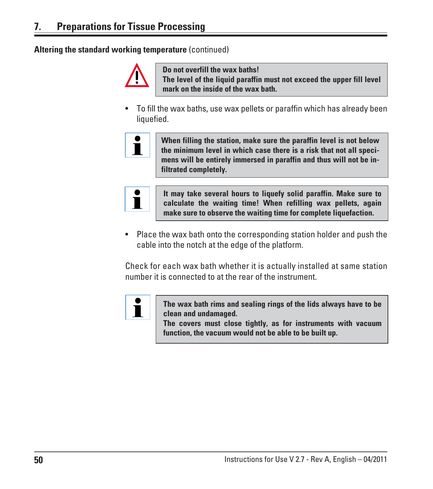**Altering the standard working temperature** (continued)



**Do not overfill the wax baths! The level of the liquid paraffin must not exceed the upper fill level mark on the inside of the wax bath.**

• To fill the wax baths, use wax pellets or paraffin which has already been liquefied.



**When filling the station, make sure the paraffin level is not below the minimum level in which case there is a risk that not all specimens will be entirely immersed in paraffin and thus will not be infiltrated completely.**



**It may take several hours to liquefy solid paraffin. Make sure to calculate the waiting time! When refilling wax pellets, again make sure to observe the waiting time for complete liquefaction.**

• Place the wax bath onto the corresponding station holder and push the cable into the notch at the edge of the platform.

Check for each wax bath whether it is actually installed at same station number it is connected to at the rear of the instrument.



**The wax bath rims and sealing rings of the lids always have to be clean and undamaged.**

**The covers must close tightly, as for instruments with vacuum function, the vacuum would not be able to be built up.**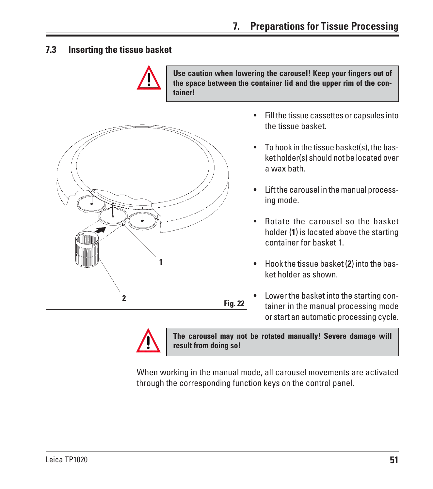**7.3 Inserting the tissue basket**



**Use caution when lowering the carousel! Keep your fingers out of the space between the container lid and the upper rim of the container!**



- Fill the tissue cassettes or capsules into the tissue basket.
- To hook in the tissue basket(s), the basket holder(s) should not be located over a wax bath.
- Lift the carousel in the manual processing mode.
- Rotate the carousel so the basket holder (**1**) is located above the starting container for basket 1.
- Hook the tissue basket (**2**) into the basket holder as shown.
- Lower the basket into the starting container in the manual processing mode or start an automatic processing cycle.



**The carousel may not be rotated manually! Severe damage will result from doing so!**

When working in the manual mode, all carousel movements are activated through the corresponding function keys on the control panel.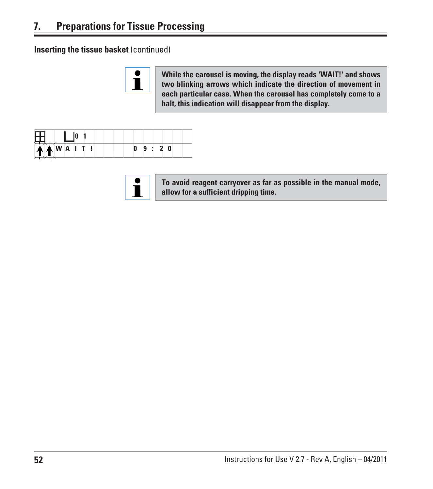**Inserting the tissue basket** (continued)



**While the carousel is moving, the display reads 'WAIT!' and shows two blinking arrows which indicate the direction of movement in each particular case. When the carousel has completely come to a halt, this indication will disappear from the display.**

| `♠  <mark>♠</mark>  W A  I T . |  |  |  |  |
|--------------------------------|--|--|--|--|

**To avoid reagent carryover as far as possible in the manual mode, allow for a sufficient dripping time.**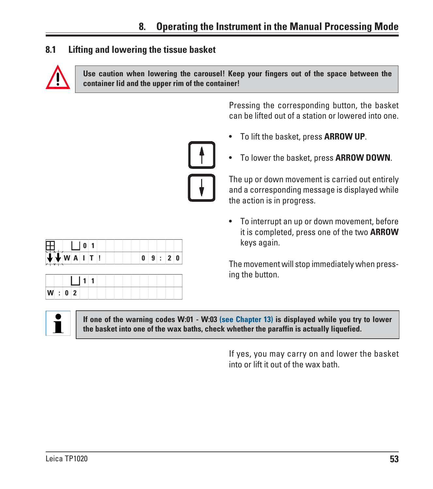## **8.1 Lifting and lowering the tissue basket**



**Use caution when lowering the carousel! Keep your fingers out of the space between the container lid and the upper rim of the container!**

> Pressing the corresponding button, the basket can be lifted out of a station or lowered into one.

- To lift the basket, press **ARROW UP**.
- To lower the basket, press **ARROW DOWN**.

The up or down movement is carried out entirely and a corresponding message is displayed while the action is in progress.

• To interrupt an up or down movement, before it is completed, press one of the two **ARROW** keys again.

The movement will stop immediately when pressing the button.



**If one of the warning codes W:01 - W:03 (see Chapter 13) is displayed while you try to lower the basket into one of the wax baths, check whether the paraffin is actually liquefied.**

> If yes, you may carry on and lower the basket into or lift it out of the wax bath.

| 田<br>$\cup$ 0 1           |                   |  |  |
|---------------------------|-------------------|--|--|
| $V$ $V$ $N$ $A$ $I$ $I$ ! | 0   9   :   2   0 |  |  |

| W: 0 2 |  |  |  |  |  |  |  |
|--------|--|--|--|--|--|--|--|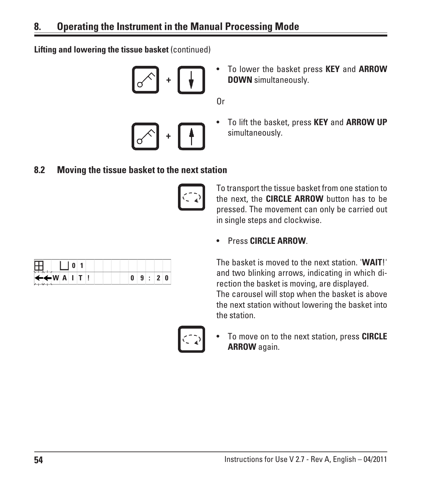**Lifting and lowering the tissue basket** (continued)

$$
\begin{array}{|c|} \hline \mathbf{r} \end{array} \rightarrow \begin{array}{|c|} \hline \mathbf{r} \end{array}
$$

**+**

• To lower the basket press **KEY** and **ARROW DOWN** simultaneously.

Or

• To lift the basket, press **KEY** and **ARROW UP** simultaneously.

#### **8.2 Moving the tissue basket to the next station**



To transport the tissue basket from one station to the next, the **CIRCLE ARROW** button has to be pressed. The movement can only be carried out in single steps and clockwise.

## • Press **CIRCLE ARROW**.

The basket is moved to the next station. '**WAIT**!' and two blinking arrows, indicating in which direction the basket is moving, are displayed. The carousel will stop when the basket is above the next station without lowering the basket into the station.

• To move on to the next station, press **CIRCLE ARROW** again.

| ப<br>П                  |  |  |  |      |  |
|-------------------------|--|--|--|------|--|
| ←←WAIT<br>$\rightarrow$ |  |  |  | 9:20 |  |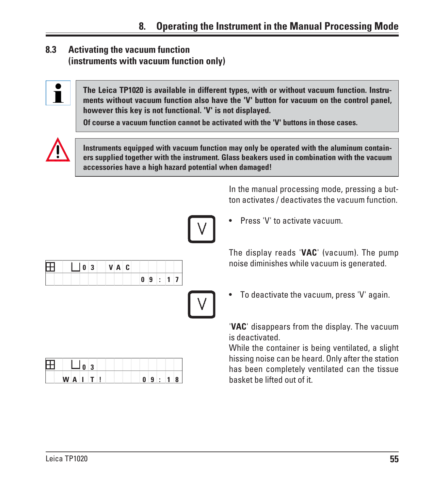# **8.3 Activating the vacuum function (instruments with vacuum function only)**



**The Leica TP1020 is available in different types, with or without vacuum function. Instruments without vacuum function also have the 'V' button for vacuum on the control panel, however this key is not functional. 'V' is not displayed.**

**Of course a vacuum function cannot be activated with the 'V' buttons in those cases.**



**Instruments equipped with vacuum function may only be operated with the aluminum containers supplied together with the instrument. Glass beakers used in combination with the vacuum accessories have a high hazard potential when damaged!**

> In the manual processing mode, pressing a button activates / deactivates the vacuum function.

• Press 'V' to activate vacuum.

The display reads '**VAC**' (vacuum). The pump noise diminishes while vacuum is generated.

• To deactivate the vacuum, press 'V' again.

'**VAC**' disappears from the display. The vacuum is deactivated.

While the container is being ventilated, a slight hissing noise can be heard. Only after the station has been completely ventilated can the tissue basket be lifted out of it.

|  | 0 3 | V A C |  |       |  |  |
|--|-----|-------|--|-------|--|--|
|  |     |       |  | 09:17 |  |  |
|  |     |       |  |       |  |  |
|  |     |       |  |       |  |  |
|  |     |       |  |       |  |  |

 **0 3 W A I T ! 0 9 : 1 8**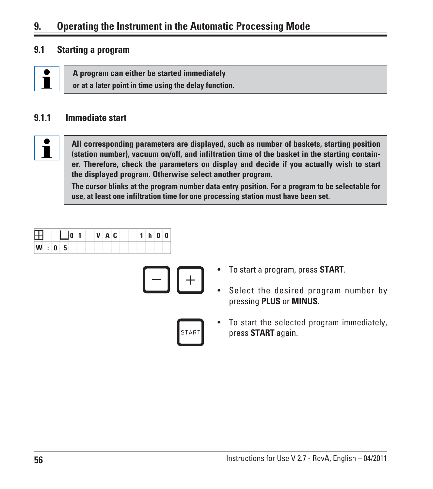# **9. Operating the Instrument in the Automatic Processing Mode**

#### **9.1 Starting a program**



**A program can either be started immediately or at a later point in time using the delay function.**

#### **9.1.1 Immediate start**



**All corresponding parameters are displayed, such as number of baskets, starting position (station number), vacuum on/off, and infiltration time of the basket in the starting container. Therefore, check the parameters on display and decide if you actually wish to start the displayed program. Otherwise select another program.**

**The cursor blinks at the program number data entry position. For a program to be selectable for use, at least one infiltration time for one processing station must have been set.**

| Æ   |  |  | $V$ $A$ $C$ |  |  | 1 h 0 0 |  |
|-----|--|--|-------------|--|--|---------|--|
| W:0 |  |  |             |  |  |         |  |



- To start a program, press **START**.
- Select the desired program number by pressing **PLUS** or **MINUS**.



• To start the selected program immediately, press **START** again.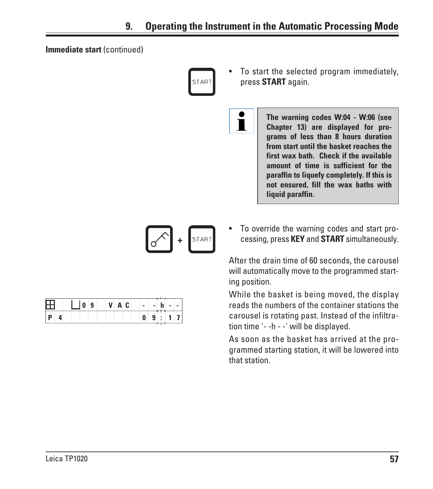Ť

#### **Immediate start** (continued)



- To start the selected program immediately, press **START** again.
	- **The warning codes W:04 W:06 (see Chapter 13) are displayed for programs of less than 8 hours duration from start until the basket reaches the first wax bath. Check if the available amount of time is sufficient for the paraffin to liquefy completely. If this is not ensured, fill the wax baths with liquid paraffin.**



| $1$ 10 9 | VAC | l e l<br>$\sim$<br>$\sim$<br>$\sim$ |
|----------|-----|-------------------------------------|
|          |     | 9<br>÷                              |

• To override the warning codes and start processing, press **KEY** and **START** simultaneously.

After the drain time of 60 seconds, the carousel will automatically move to the programmed starting position.

While the basket is being moved, the display reads the numbers of the container stations the carousel is rotating past. Instead of the infiltration time '- -h - -' will be displayed.

As soon as the basket has arrived at the programmed starting station, it will be lowered into that station.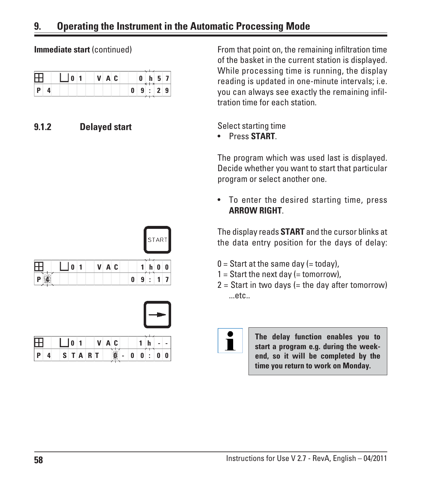**Immediate start** (continued)

|  | 0 <sup>1</sup> | VAC |  |   | 0 h 57 | $\overline{\phantom{1}}$ $\overline{\phantom{1}}$ |  |
|--|----------------|-----|--|---|--------|---------------------------------------------------|--|
|  |                |     |  | 0 |        | 9:29                                              |  |

## **9.1.2 Delayed start**

From that point on, the remaining infiltration time of the basket in the current station is displayed. While processing time is running, the display reading is updated in one-minute intervals; i.e. you can always see exactly the remaining infiltration time for each station.

Select starting time

• Press **START**.

The program which was used last is displayed. Decide whether you want to start that particular program or select another one.

• To enter the desired starting time, press **ARROW RIGHT**.

The display reads **START** and the cursor blinks at the data entry position for the days of delay:

- $0 =$  Start at the same day (= today),
- $1 =$  Start the next day (= tomorrow),
- $2 =$  Start in two days (= the day after tomorrow) ...etc..

**The delay function enables you to start a program e.g. during the weekend, so it will be completed by the time you return to work on Monday.**



| 田            |   |                     | 1011 |  | VAC |         |   |   |   |   |   |
|--------------|---|---------------------|------|--|-----|---------|---|---|---|---|---|
| $\mathsf{P}$ | л | $S$ $T$ $A$ $R$ $T$ |      |  |     | .<br>Se | 0 | 0 | ÷ | 0 | 0 |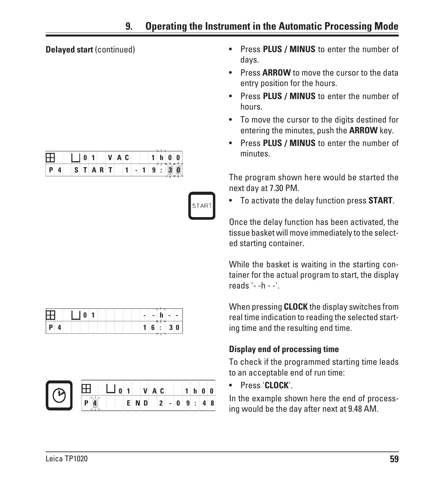**Delayed start** (continued)

|  |    |   | V    | A C |   |   |        | 0 | 0 |
|--|----|---|------|-----|---|---|--------|---|---|
|  | S. | A | RIT. |     | ٠ | 9 | ٠<br>٠ |   | n |

|         | 田口。 | $\mathbf{h}$<br>$-1$<br>$\sim$<br>$\sim$ |
|---------|-----|------------------------------------------|
| P <br>Δ |     | 1 6 :3 0                                 |



- Press **PLUS / MINUS** to enter the number of days.
- Press **ARROW** to move the cursor to the data entry position for the hours.
- Press **PLUS / MINUS** to enter the number of hours.
- To move the cursor to the digits destined for entering the minutes, push the **ARROW** key.
- Press **PLUS / MINUS** to enter the number of minutes.

The program shown here would be started the next day at 7.30 PM.

• To activate the delay function press **START**.

Once the delay function has been activated, the tissue basket will move immediately to the selected starting container.

While the basket is waiting in the starting container for the actual program to start, the display reads '- -h - -'.

When pressing **CLOCK** the display switches from real time indication to reading the selected starting time and the resulting end time.

# **Display end of processing time**

To check if the programmed starting time leads to an acceptable end of run time:

• Press '**CLOCK**'.

In the example shown here the end of processing would be the day after next at 9.48 AM.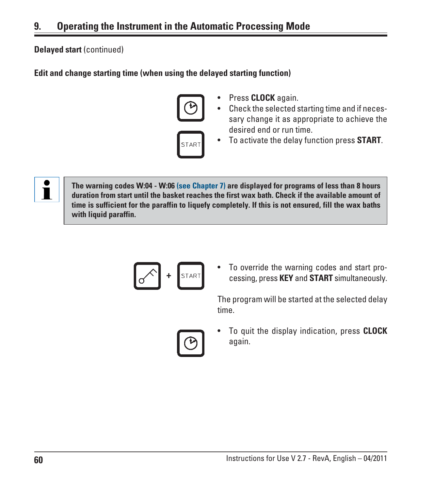#### **Delayed start** (continued)

#### **Edit and change starting time (when using the delayed starting function)**



- Press **CLOCK** again.
- Check the selected starting time and if necessary change it as appropriate to achieve the desired end or run time.



• To activate the delay function press **START**.



**The warning codes W:04 - W:06 (see Chapter 7) are displayed for programs of less than 8 hours duration from start until the basket reaches the first wax bath. Check if the available amount of time is sufficient for the paraffin to liquefy completely. If this is not ensured, fill the wax baths with liquid paraffin.**



• To override the warning codes and start processing, press **KEY** and **START** simultaneously.

The program will be started at the selected delay time.



• To quit the display indication, press **CLOCK** again.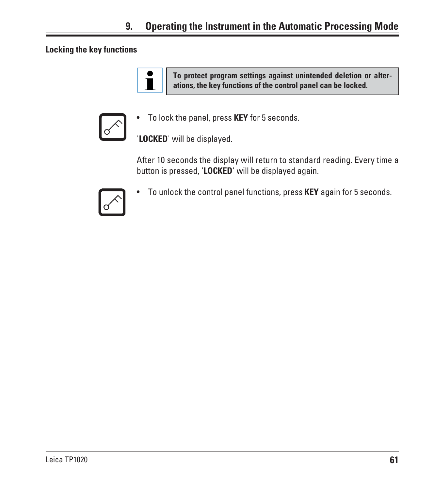# **9. Operating the Instrument in the Automatic Processing Mode**

## **Locking the key functions**

**To protect program settings against unintended deletion or alterations, the key functions of the control panel can be locked.**



ĺ

• To lock the panel, press **KEY** for 5 seconds.

'**LOCKED**' will be displayed.

After 10 seconds the display will return to standard reading. Every time a button is pressed, '**LOCKED**' will be displayed again.



• To unlock the control panel functions, press **KEY** again for 5 seconds.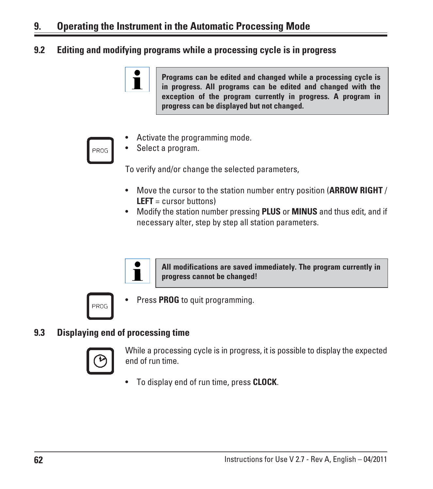## **9.2 Editing and modifying programs while a processing cycle is in progress**





- Activate the programming mode.
- Select a program.

To verify and/or change the selected parameters,

- Move the cursor to the station number entry position (**ARROW RIGHT** / **LEFT** = cursor buttons)
- Modify the station number pressing **PLUS** or **MINUS** and thus edit, and if necessary alter, step by step all station parameters.



**All modifications are saved immediately. The program currently in progress cannot be changed!**



Press **PROG** to quit programming.

#### **9.3 Displaying end of processing time**



While a processing cycle is in progress, it is possible to display the expected end of run time.

• To display end of run time, press **CLOCK**.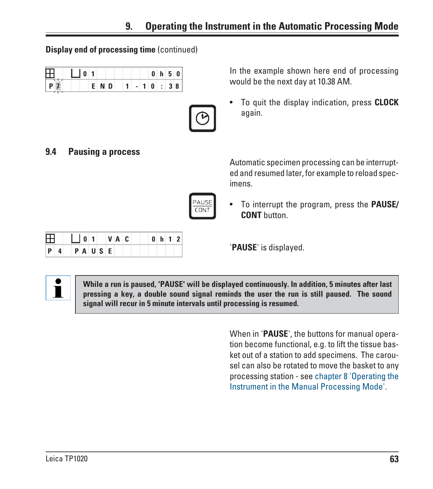| <b>Display end of processing time (continued)</b> |  |
|---------------------------------------------------|--|
|---------------------------------------------------|--|

 **0 1 V A C 0 h 1 2**

| n |  |     |  |   | 0 | h  | in L | 0 |
|---|--|-----|--|---|---|----|------|---|
|   |  | ND. |  | ٠ |   | ÷. | 38   |   |



**9.4 Pausing a process**

In the example shown here end of processing would be the next day at 10.38 AM.

• To quit the display indication, press **CLOCK** again.

Automatic specimen processing can be interrupted and resumed later, for example to reload specimens.

• To interrupt the program, press the **PAUSE/ CONT** button.

'**PAUSE**' is displayed.



Æ

**P 4 P A U S E**

**While a run is paused, 'PAUSE' will be displayed continuously. In addition, 5 minutes after last pressing a key, a double sound signal reminds the user the run is still paused. The sound signal will recur in 5 minute intervals until processing is resumed.**

> When in '**PAUSE**', the buttons for manual operation become functional, e.g. to lift the tissue basket out of a station to add specimens. The carousel can also be rotated to move the basket to any processing station - see chapter 8 'Operating the Instrument in the Manual Processing Mode'.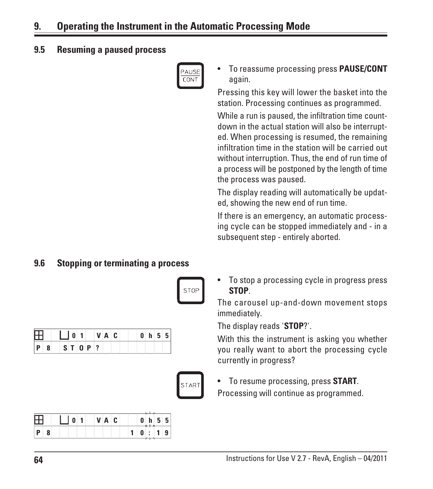# **9. Operating the Instrument in the Automatic Processing Mode**

#### **9.5 Resuming a paused process**



• To reassume processing press **PAUSE/CONT** again.

Pressing this key will lower the basket into the station. Processing continues as programmed.

While a run is paused, the infiltration time countdown in the actual station will also be interrupted. When processing is resumed, the remaining infiltration time in the station will be carried out without interruption. Thus, the end of run time of a process will be postponed by the length of time the process was paused.

The display reading will automatically be updated, showing the new end of run time.

If there is an emergency, an automatic processing cycle can be stopped immediately and - in a subsequent step - entirely aborted.

## **9.6 Stopping or terminating a process**

| STOP |
|------|
|      |

| $\Box$ $\Box$ 0 1 VAC |  |  |  |  |  |  |  | 0 h 55 |
|-----------------------|--|--|--|--|--|--|--|--------|
| $P$ 8 ST 0 P ?        |  |  |  |  |  |  |  |        |

| ۵<br>г |  |
|--------|--|
|        |  |

|  |  |  |  | VAC. |  |  | h  | . ב | -51 |
|--|--|--|--|------|--|--|----|-----|-----|
|  |  |  |  |      |  |  | ÷. |     |     |

• To stop a processing cycle in progress press **STOP**.

The carousel up-and-down movement stops immediately.

The display reads '**STOP**?'.

With this the instrument is asking you whether you really want to abort the processing cycle currently in progress?

• To resume processing, press **START**. Processing will continue as programmed.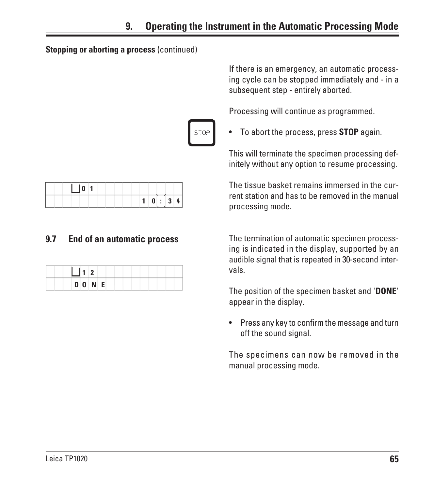#### **Stopping or aborting a process** (continued)

STO.

| . $\vert 0 \vert^{\prime}$ |    |                       |  |    |
|----------------------------|----|-----------------------|--|----|
|                            | 1. | $\pm$ 0 $\pm$ 3 $\pm$ |  | -4 |

# **9.7 End of an automatic process**

| DONE |  |
|------|--|

If there is an emergency, an automatic processing cycle can be stopped immediately and - in a subsequent step - entirely aborted.

Processing will continue as programmed.

• To abort the process, press **STOP** again.

This will terminate the specimen processing definitely without any option to resume processing.

The tissue basket remains immersed in the current station and has to be removed in the manual processing mode.

The termination of automatic specimen processing is indicated in the display, supported by an audible signal that is repeated in 30-second intervals.

The position of the specimen basket and '**DONE**' appear in the display.

• Press any key to confirm the message and turn off the sound signal.

The specimens can now be removed in the manual processing mode.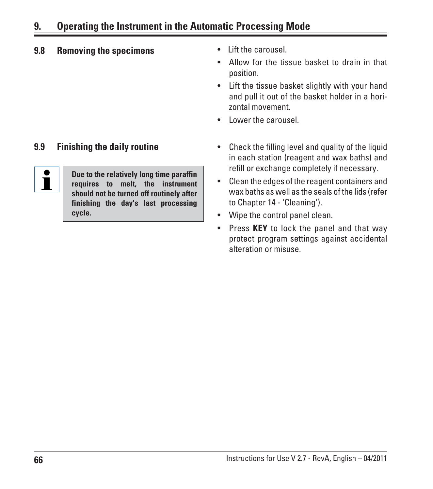# **9. Operating the Instrument in the Automatic Processing Mode**

# **9.8 Removing the specimens** • Lift the carousel.



**Due to the relatively long time paraffin requires to melt, the instrument should not be turned off routinely after finishing the day's last processing cycle.**

- 
- Allow for the tissue basket to drain in that position.
- Lift the tissue basket slightly with your hand and pull it out of the basket holder in a horizontal movement.
- Lower the carousel.
- **9.9 Finishing the daily routine Check the filling level and quality of the liquid** in each station (reagent and wax baths) and refill or exchange completely if necessary.
	- Clean the edges of the reagent containers and wax baths as well as the seals of the lids (refer to Chapter 14 - 'Cleaning').
	- Wipe the control panel clean.
	- Press **KEY** to lock the panel and that way protect program settings against accidental alteration or misuse.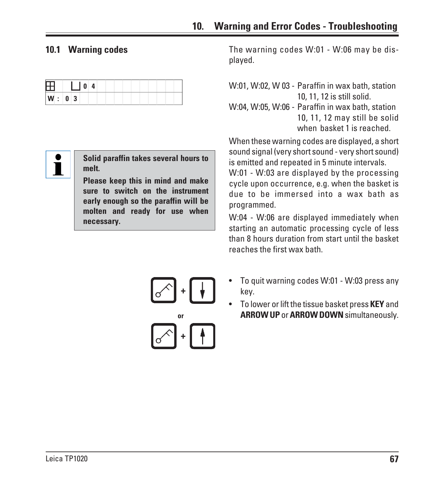#### **10.1 Warning codes**

| ⊥     | 0 |  |  |  |
|-------|---|--|--|--|
| W: 03 |   |  |  |  |



**Solid paraffin takes several hours to melt.**

**Please keep this in mind and make sure to switch on the instrument early enough so the paraffin will be molten and ready for use when necessary.**

The warning codes W:01 - W:06 may be displayed.

W:01, W:02, W 03 - Paraffin in wax bath, station 10, 11, 12 is still solid. W:04, W:05, W:06 - Paraffin in wax bath, station 10, 11, 12 may still be solid when basket 1 is reached.

When these warning codes are displayed, a short sound signal (very short sound - very short sound) is emitted and repeated in 5 minute intervals.

W:01 - W:03 are displayed by the processing cycle upon occurrence, e.g. when the basket is due to be immersed into a wax bath as programmed.

W:04 - W:06 are displayed immediately when starting an automatic processing cycle of less than 8 hours duration from start until the basket reaches the first wax bath.



- To quit warning codes W:01 W:03 press any key.
- To lower or lift the tissue basket press **KEY** and **ARROW UP** or **ARROW DOWN** simultaneously.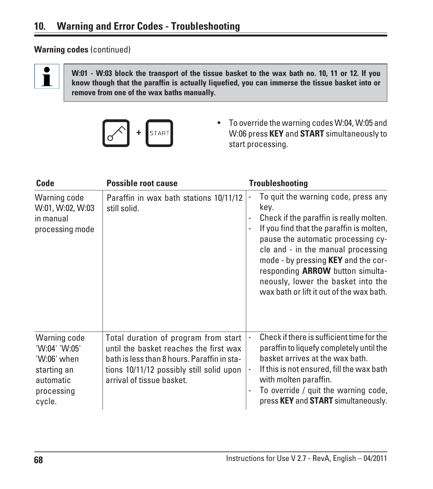## **Warning codes** (continued)



**W:01 - W:03 block the transport of the tissue basket to the wax bath no. 10, 11 or 12. If you know though that the paraffin is actually liquefied, you can immerse the tissue basket into or remove from one of the wax baths manually.**



• To override the warning codes W:04, W:05 and W:06 press **KEY** and **START** simultaneously to start processing.

| Code                                                                                             | <b>Possible root cause</b>                                                                                                                                                                             | <b>Troubleshooting</b>                                                                                                                                                                                                                                                                                                                                                                    |
|--------------------------------------------------------------------------------------------------|--------------------------------------------------------------------------------------------------------------------------------------------------------------------------------------------------------|-------------------------------------------------------------------------------------------------------------------------------------------------------------------------------------------------------------------------------------------------------------------------------------------------------------------------------------------------------------------------------------------|
| Warning code<br>W:01, W:02, W:03<br>in manual<br>processing mode                                 | Paraffin in wax bath stations 10/11/12<br>still solid.                                                                                                                                                 | To quit the warning code, press any<br>key.<br>Check if the paraffin is really molten.<br>If you find that the paraffin is molten,<br>pause the automatic processing cy-<br>cle and - in the manual processing<br>mode - by pressing <b>KEY</b> and the cor-<br>responding <b>ARROW</b> button simulta-<br>neously, lower the basket into the<br>wax bath or lift it out of the wax bath. |
| Warning code<br>'W:04' 'W:05'<br>'W:06' when<br>starting an<br>automatic<br>processing<br>cycle. | Total duration of program from start<br>until the basket reaches the first wax<br>bath is less than 8 hours. Paraffin in sta-<br>tions 10/11/12 possibly still solid upon<br>arrival of tissue basket. | Check if there is sufficient time for the<br>paraffin to liquefy completely until the<br>basket arrives at the wax bath.<br>If this is not ensured, fill the wax bath<br>with molten paraffin.<br>To override / quit the warning code,<br>press KEY and START simultaneously.                                                                                                             |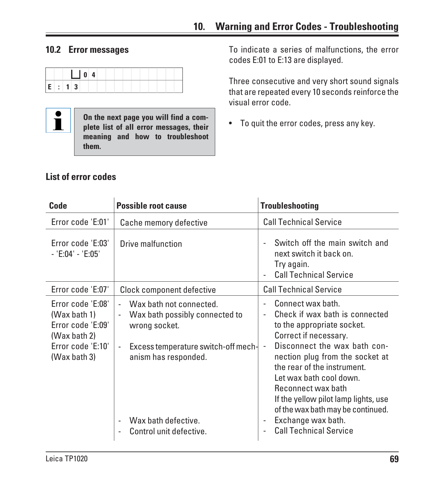

**On the next page you will find a complete list of all error messages, their meaning and how to troubleshoot them.**

**10.2 Error messages** To indicate a series of malfunctions, the error codes E:01 to E:13 are displayed.

> Three consecutive and very short sound signals that are repeated every 10 seconds reinforce the visual error code.

• To quit the error codes, press any key.

| <b>Code</b>                                                                                                 | <b>Possible root cause</b>                                                                                                                                                                                                                                                          | <b>Troubleshooting</b>                                                                                                                                                                                                                                                                                                                                                                                                        |
|-------------------------------------------------------------------------------------------------------------|-------------------------------------------------------------------------------------------------------------------------------------------------------------------------------------------------------------------------------------------------------------------------------------|-------------------------------------------------------------------------------------------------------------------------------------------------------------------------------------------------------------------------------------------------------------------------------------------------------------------------------------------------------------------------------------------------------------------------------|
| Error code 'E:01'                                                                                           | Cache memory defective                                                                                                                                                                                                                                                              | <b>Call Technical Service</b>                                                                                                                                                                                                                                                                                                                                                                                                 |
| Error code 'E:03'<br>$-$ 'E:04' - 'E:05'                                                                    | Drive malfunction                                                                                                                                                                                                                                                                   | Switch off the main switch and<br>next switch it back on.<br>Try again.<br><b>Call Technical Service</b>                                                                                                                                                                                                                                                                                                                      |
| Error code 'E:07'                                                                                           | Clock component defective                                                                                                                                                                                                                                                           | <b>Call Technical Service</b>                                                                                                                                                                                                                                                                                                                                                                                                 |
| Error code 'E:08'<br>(Wax bath 1)<br>Error code 'E:09'<br>(Wax bath 2)<br>Error code 'E:10'<br>(Wax bath 3) | Wax bath not connected.<br>Wax bath possibly connected to<br>$\overline{\phantom{a}}$<br>wrong socket.<br>Excess temperature switch-off mech- $\vert$ -<br>$\qquad \qquad \blacksquare$<br>anism has responded.<br>Wax bath defective.<br>$\overline{a}$<br>Control unit defective. | Connect wax bath.<br>Check if wax bath is connected<br>to the appropriate socket.<br>Correct if necessary.<br>Disconnect the wax bath con-<br>nection plug from the socket at<br>the rear of the instrument.<br>Let wax bath cool down.<br>Reconnect wax bath<br>If the yellow pilot lamp lights, use<br>of the wax bath may be continued.<br>Exchange wax bath.<br>$\overline{\phantom{a}}$<br><b>Call Technical Service</b> |

# **List of error codes**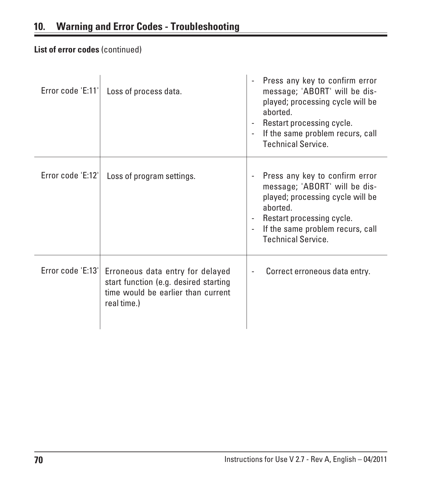# **List of error codes** (continued)

| Error code 'E:11' | Loss of process data.                                                                                                          | Press any key to confirm error<br>message; 'ABORT' will be dis-<br>played; processing cycle will be<br>aborted.<br>Restart processing cycle.<br>If the same problem recurs, call<br><b>Technical Service.</b> |
|-------------------|--------------------------------------------------------------------------------------------------------------------------------|---------------------------------------------------------------------------------------------------------------------------------------------------------------------------------------------------------------|
| Error code 'E:12' | Loss of program settings.                                                                                                      | Press any key to confirm error<br>message; 'ABORT' will be dis-<br>played; processing cycle will be<br>aborted.<br>Restart processing cycle.<br>If the same problem recurs, call<br><b>Technical Service.</b> |
| Error code 'E:13' | Erroneous data entry for delayed<br>start function (e.g. desired starting<br>time would be earlier than current<br>real time.) | Correct erroneous data entry.                                                                                                                                                                                 |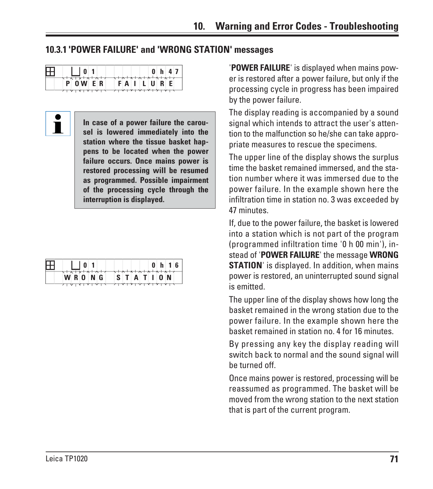## **10.3.1 'POWER FAILURE' and 'WRONG STATION' messages**

| ⊞<br>$\begin{array}{c c} \hline \end{array}$ | 0 h 47         |
|----------------------------------------------|----------------|
| $\sqrt{ \lambda }$<br>POWER                  | <b>FAILURE</b> |
| 7   7   X   Y   Y   Y                        |                |

 $\mathbf i$ 

**In case of a power failure the carousel is lowered immediately into the station where the tissue basket happens to be located when the power failure occurs. Once mains power is restored processing will be resumed as programmed. Possible impairment of the processing cycle through the interruption is displayed.**

| $\boxplus$              | 0 h 16                                                                                                                                                                                                                                                                                                                                                                                                                                                                                                                                       |
|-------------------------|----------------------------------------------------------------------------------------------------------------------------------------------------------------------------------------------------------------------------------------------------------------------------------------------------------------------------------------------------------------------------------------------------------------------------------------------------------------------------------------------------------------------------------------------|
| $\sqrt{2}$<br>W R O N G | $\left\{ \left\{ +\lambda ^{2}+\lambda ^{2}+\lambda ^{2}+\lambda ^{2}+\lambda ^{2}+\lambda ^{2}+\lambda ^{2}+\lambda ^{2}+\lambda ^{2}+\lambda ^{2}+\lambda ^{2}+\lambda ^{2}+\lambda ^{2}+\lambda ^{2}+\lambda ^{2}+\lambda ^{2}+\lambda ^{2}+\lambda ^{2}+\lambda ^{2}+\lambda ^{2}+\lambda ^{2}+\lambda ^{2}+\lambda ^{2}+\lambda ^{2}+\lambda ^{2}+\lambda ^{2}+\lambda ^{2}+\lambda ^{2}+\lambda ^{2}+\lambda ^{2}+\lambda ^{2}+\lambda ^{2}+\lambda ^{2}+\lambda ^{2}+\lambda ^{2}+\$<br>S I A I I O N<br>فيفيقنهنها فتفتح بمنمنه لقتد |

'**POWER FAILURE**' is displayed when mains power is restored after a power failure, but only if the processing cycle in progress has been impaired by the power failure.

The display reading is accompanied by a sound signal which intends to attract the user's attention to the malfunction so he/she can take appropriate measures to rescue the specimens.

The upper line of the display shows the surplus time the basket remained immersed, and the station number where it was immersed due to the power failure. In the example shown here the infiltration time in station no. 3 was exceeded by 47 minutes.

If, due to the power failure, the basket is lowered into a station which is not part of the program (programmed infiltration time '0 h 00 min'), instead of '**POWER FAILURE**' the message **WRONG STATION**' is displayed. In addition, when mains power is restored, an uninterrupted sound signal is emitted.

The upper line of the display shows how long the basket remained in the wrong station due to the power failure. In the example shown here the basket remained in station no. 4 for 16 minutes.

By pressing any key the display reading will switch back to normal and the sound signal will be turned off.

Once mains power is restored, processing will be reassumed as programmed. The basket will be moved from the wrong station to the next station that is part of the current program.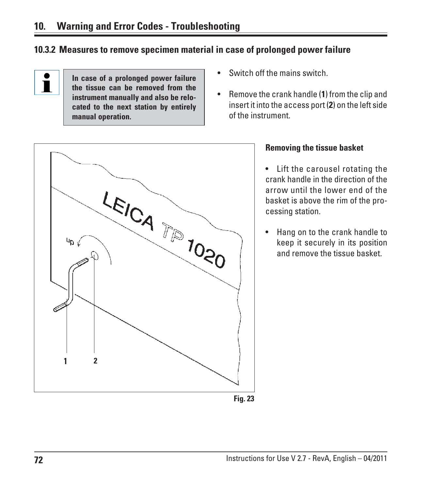## **10.3.2 Measures to remove specimen material in case of prolonged power failure**

 $\mathbf i$ 

**In case of a prolonged power failure the tissue can be removed from the instrument manually and also be relocated to the next station by entirely manual operation.**

- Switch off the mains switch.
- Remove the crank handle (**1**) from the clip and insert it into the access port (**2**) on the left side of the instrument.



#### **Removing the tissue basket**

• Lift the carousel rotating the crank handle in the direction of the arrow until the lower end of the basket is above the rim of the processing station.

• Hang on to the crank handle to keep it securely in its position and remove the tissue basket.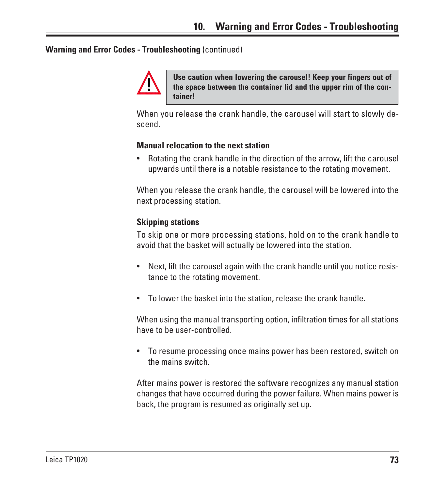#### **Warning and Error Codes - Troubleshooting** (continued)



**Use caution when lowering the carousel! Keep your fingers out of the space between the container lid and the upper rim of the container!**

When you release the crank handle, the carousel will start to slowly descend.

#### **Manual relocation to the next station**

• Rotating the crank handle in the direction of the arrow, lift the carousel upwards until there is a notable resistance to the rotating movement.

When you release the crank handle, the carousel will be lowered into the next processing station.

#### **Skipping stations**

To skip one or more processing stations, hold on to the crank handle to avoid that the basket will actually be lowered into the station.

- Next, lift the carousel again with the crank handle until you notice resistance to the rotating movement.
- To lower the basket into the station, release the crank handle.

When using the manual transporting option, infiltration times for all stations have to be user-controlled.

• To resume processing once mains power has been restored, switch on the mains switch.

After mains power is restored the software recognizes any manual station changes that have occurred during the power failure. When mains power is back, the program is resumed as originally set up.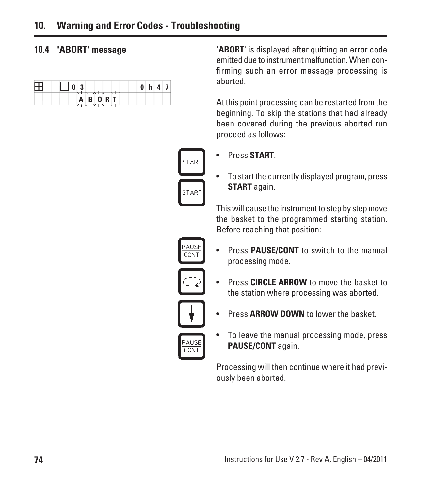| ┶┺ | $\overline{\mathbf{3}}$<br>0<br>$\sqrt{X+X+X+X+Z}$ | $\mathbf{0}$ |  | $h$ 4 7 |
|----|----------------------------------------------------|--------------|--|---------|
|    | <b>ABORT</b>                                       |              |  |         |

**10.4 'ABORT' message** '**ABORT**' is displayed after quitting an error code emitted due to instrument malfunction. When confirming such an error message processing is aborted.

> At this point processing can be restarted from the beginning. To skip the stations that had already been covered during the previous aborted run proceed as follows:



• Press **START**.

• To start the currently displayed program, press **START** again.

This will cause the instrument to step by step move the basket to the programmed starting station. Before reaching that position:



• Press **PAUSE/CONT** to switch to the manual processing mode.



• Press **CIRCLE ARROW** to move the basket to the station where processing was aborted.



• Press **ARROW DOWN** to lower the basket.



• To leave the manual processing mode, press **PAUSE/CONT** again.

Processing will then continue where it had previously been aborted.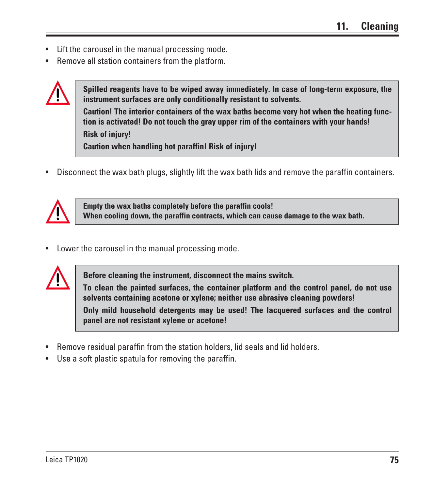- Lift the carousel in the manual processing mode.
- Remove all station containers from the platform.



**Spilled reagents have to be wiped away immediately. In case of long-term exposure, the instrument surfaces are only conditionally resistant to solvents. Caution! The interior containers of the wax baths become very hot when the heating function is activated! Do not touch the gray upper rim of the containers with your hands! Risk of injury! Caution when handling hot paraffin! Risk of injury!**

• Disconnect the wax bath plugs, slightly lift the wax bath lids and remove the paraffin containers.



**Empty the wax baths completely before the paraffin cools! When cooling down, the paraffin contracts, which can cause damage to the wax bath.**

• Lower the carousel in the manual processing mode.



**Before cleaning the instrument, disconnect the mains switch.**

**To clean the painted surfaces, the container platform and the control panel, do not use solvents containing acetone or xylene; neither use abrasive cleaning powders!**

**Only mild household detergents may be used! The lacquered surfaces and the control panel are not resistant xylene or acetone!**

- Remove residual paraffin from the station holders, lid seals and lid holders.
- Use a soft plastic spatula for removing the paraffin.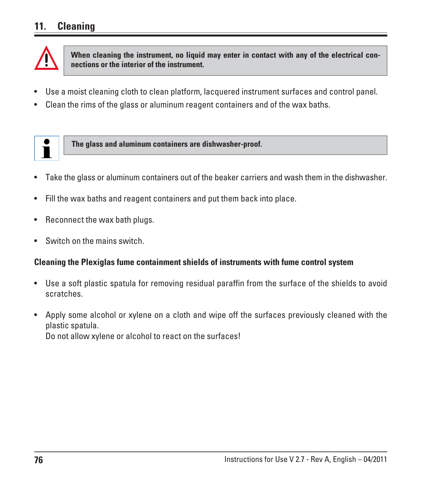## **11. Cleaning**



**When cleaning the instrument, no liquid may enter in contact with any of the electrical connections or the interior of the instrument.**

- Use a moist cleaning cloth to clean platform, lacquered instrument surfaces and control panel.
- Clean the rims of the glass or aluminum reagent containers and of the wax baths.



**The glass and aluminum containers are dishwasher-proof.**

- Take the glass or aluminum containers out of the beaker carriers and wash them in the dishwasher.
- Fill the wax baths and reagent containers and put them back into place.
- Reconnect the wax bath plugs.
- Switch on the mains switch.

#### **Cleaning the Plexiglas fume containment shields of instruments with fume control system**

- Use a soft plastic spatula for removing residual paraffin from the surface of the shields to avoid scratches.
- Apply some alcohol or xylene on a cloth and wipe off the surfaces previously cleaned with the plastic spatula. Do not allow xylene or alcohol to react on the surfaces!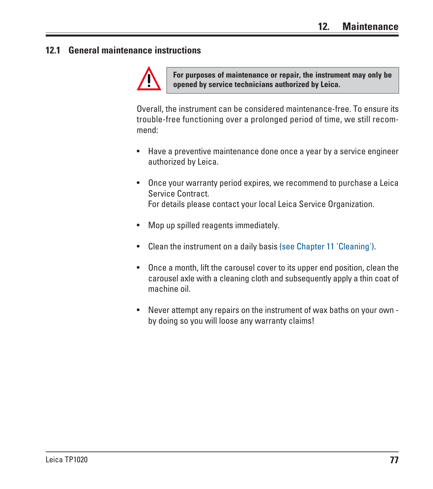#### **12.1 General maintenance instructions**



**For purposes of maintenance or repair, the instrument may only be opened by service technicians authorized by Leica.**

Overall, the instrument can be considered maintenance-free. To ensure its trouble-free functioning over a prolonged period of time, we still recommend:

- Have a preventive maintenance done once a year by a service engineer authorized by Leica.
- Once your warranty period expires, we recommend to purchase a Leica Service Contract. For details please contact your local Leica Service Organization.
- Mop up spilled reagents immediately.
- Clean the instrument on a daily basis (see Chapter 11 'Cleaning').
- Once a month, lift the carousel cover to its upper end position, clean the carousel axle with a cleaning cloth and subsequently apply a thin coat of machine oil.
- Never attempt any repairs on the instrument of wax baths on your own by doing so you will loose any warranty claims!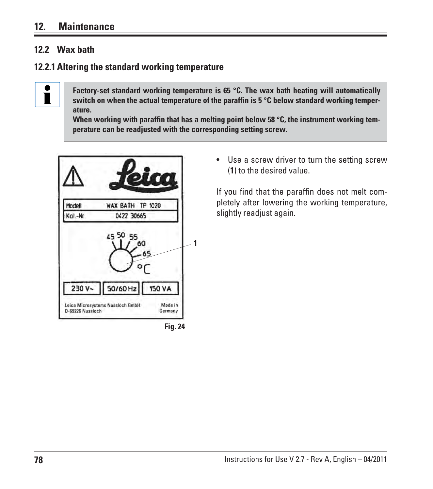#### **12. Maintenance**

#### **12.2 Wax bath**

I

#### **12.2.1 Altering the standard working temperature**

**Factory-set standard working temperature is 65 °C. The wax bath heating will automatically switch on when the actual temperature of the paraffin is 5 °C below standard working temperature.**

**When working with paraffin that has a melting point below 58 °C, the instrument working temperature can be readjusted with the corresponding setting screw.**





• Use a screw driver to turn the setting screw (**1**) to the desired value.

If you find that the paraffin does not melt completely after lowering the working temperature, slightly readjust again.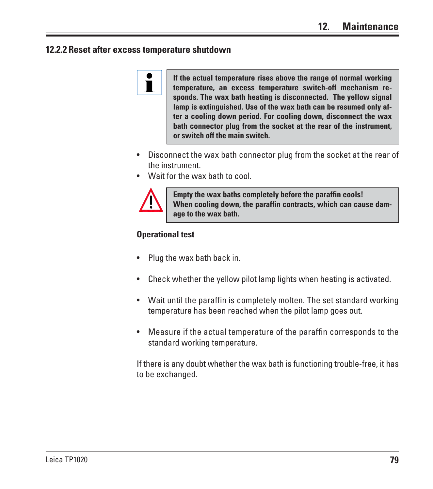#### **12.2.2 Reset after excess temperature shutdown**



**If the actual temperature rises above the range of normal working temperature, an excess temperature switch-off mechanism responds. The wax bath heating is disconnected. The yellow signal lamp is extinguished. Use of the wax bath can be resumed only after a cooling down period. For cooling down, disconnect the wax bath connector plug from the socket at the rear of the instrument, or switch off the main switch.**

- Disconnect the wax bath connector plug from the socket at the rear of the instrument.
- Wait for the wax bath to cool.



**Empty the wax baths completely before the paraffin cools! When cooling down, the paraffin contracts, which can cause damage to the wax bath.**

#### **Operational test**

- Plug the wax bath back in.
- Check whether the yellow pilot lamp lights when heating is activated.
- Wait until the paraffin is completely molten. The set standard working temperature has been reached when the pilot lamp goes out.
- Measure if the actual temperature of the paraffin corresponds to the standard working temperature.

If there is any doubt whether the wax bath is functioning trouble-free, it has to be exchanged.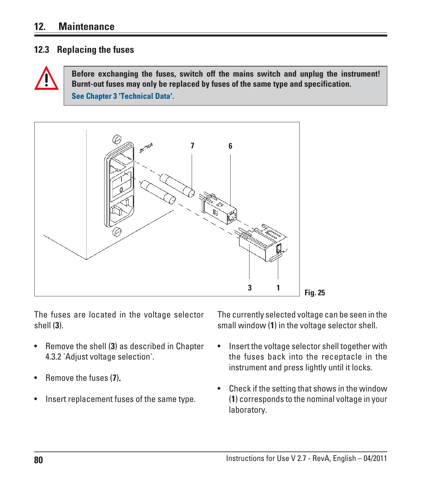#### **12. Maintenance**

#### **12.3 Replacing the fuses**



**Before exchanging the fuses, switch off the mains switch and unplug the instrument! Burnt-out fuses may only be replaced by fuses of the same type and specification. See Chapter 3 'Technical Data'.**



The fuses are located in the voltage selector shell (**3**).

- Remove the shell (**3**) as described in Chapter 4.3.2 'Adjust voltage selection'.
- Remove the fuses (**7**).
- Insert replacement fuses of the same type.

The currently selected voltage can be seen in the small window (**1**) in the voltage selector shell.

- Insert the voltage selector shell together with the fuses back into the receptacle in the instrument and press lightly until it locks.
- Check if the setting that shows in the window (**1**) corresponds to the nominal voltage in your laboratory.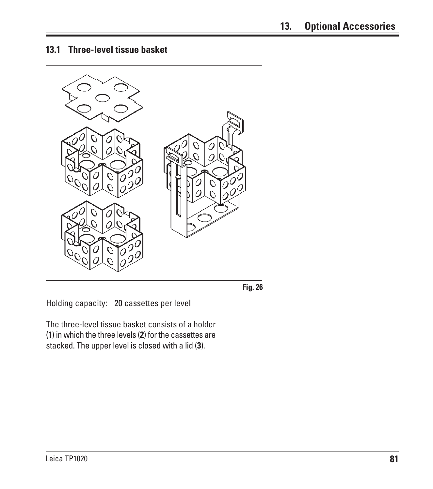**13.1 Three-level tissue basket**





Holding capacity: 20 cassettes per level

The three-level tissue basket consists of a holder (**1**) in which the three levels (**2**) for the cassettes are stacked. The upper level is closed with a lid (**3**).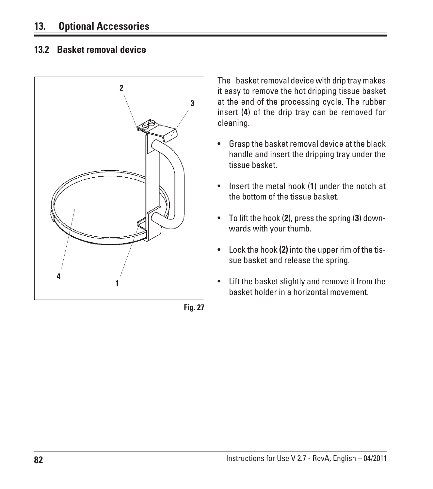#### **13.2 Basket removal device**



**Fig. 27**

The basket removal device with drip tray makes it easy to remove the hot dripping tissue basket at the end of the processing cycle. The rubber insert (**4**) of the drip tray can be removed for cleaning.

- Grasp the basket removal device at the black handle and insert the dripping tray under the tissue basket.
- Insert the metal hook (**1**) under the notch at the bottom of the tissue basket.
- To lift the hook (**2**), press the spring (**3**) downwards with your thumb.
- $\bullet$  Lock the hook (2) into the upper rim of the tissue basket and release the spring.
- Lift the basket slightly and remove it from the basket holder in a horizontal movement.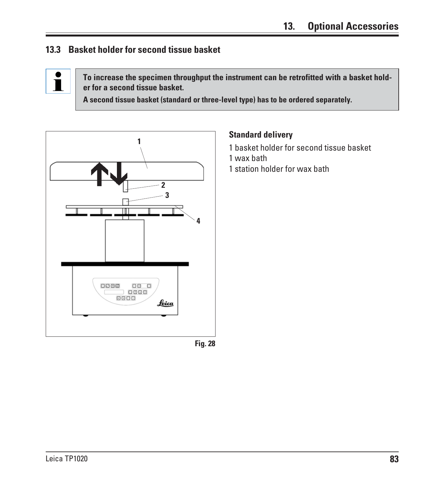#### **13.3 Basket holder for second tissue basket**



**To increase the specimen throughput the instrument can be retrofitted with a basket holder for a second tissue basket.**

**Standard delivery**

1 wax bath

1 basket holder for second tissue basket

1 station holder for wax bath

**A second tissue basket (standard or three-level type) has to be ordered separately.**



**Fig. 28**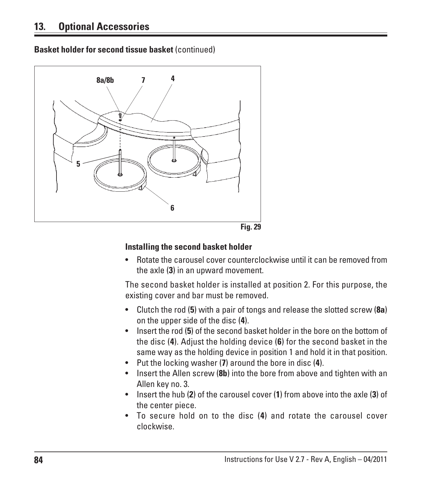**Basket holder for second tissue basket** (continued)



#### **Installing the second basket holder**

• Rotate the carousel cover counterclockwise until it can be removed from the axle (**3**) in an upward movement.

The second basket holder is installed at position 2. For this purpose, the existing cover and bar must be removed.

- Clutch the rod (**5**) with a pair of tongs and release the slotted screw (**8a**) on the upper side of the disc (**4**).
- Insert the rod (**5**) of the second basket holder in the bore on the bottom of the disc (**4**). Adjust the holding device (**6**) for the second basket in the same way as the holding device in position 1 and hold it in that position.
- Put the locking washer (**7**) around the bore in disc (**4**).
- Insert the Allen screw (**8b**) into the bore from above and tighten with an Allen key no. 3.
- Insert the hub (**2**) of the carousel cover ( **1**) from above into the axle (**3**) of the center piece.
- To secure hold on to the disc (**4**) and rotate the carousel cover clockwise.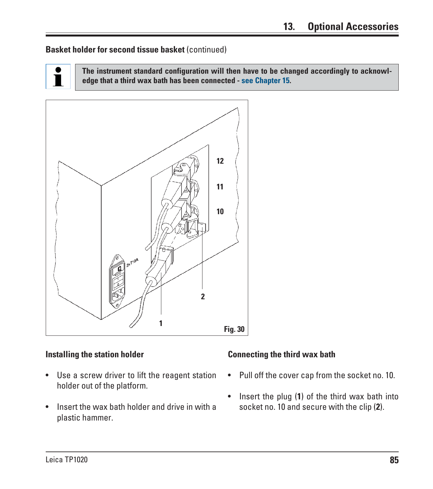#### **Basket holder for second tissue basket** (continued)

Ĭ

**The instrument standard configuration will then have to be changed accordingly to acknowledge that a third wax bath has been connected - see Chapter 15.**



#### **Installing the station holder**

- Use a screw driver to lift the reagent station holder out of the platform.
- Insert the wax bath holder and drive in with a plastic hammer.

#### **Connecting the third wax bath**

- Pull off the cover cap from the socket no. 10.
- Insert the plug (**1**) of the third wax bath into socket no. 10 and secure with the clip (**2**).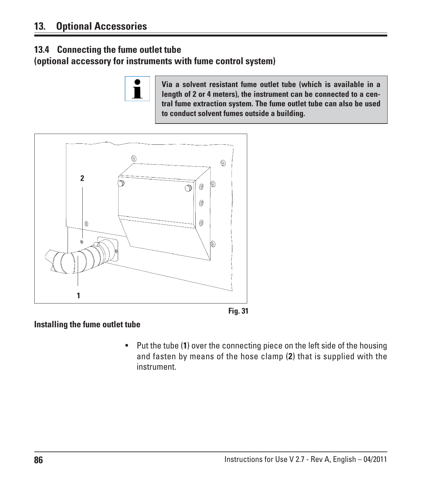#### **13.4 Connecting the fume outlet tube**

**(optional accessory for instruments with fume control system)**



**Via a solvent resistant fume outlet tube (which is available in a length of 2 or 4 meters), the instrument can be connected to a central fume extraction system. The fume outlet tube can also be used to conduct solvent fumes outside a building.**





#### **Installing the fume outlet tube**

• Put the tube (**1**) over the connecting piece on the left side of the housing and fasten by means of the hose clamp (**2**) that is supplied with the instrument.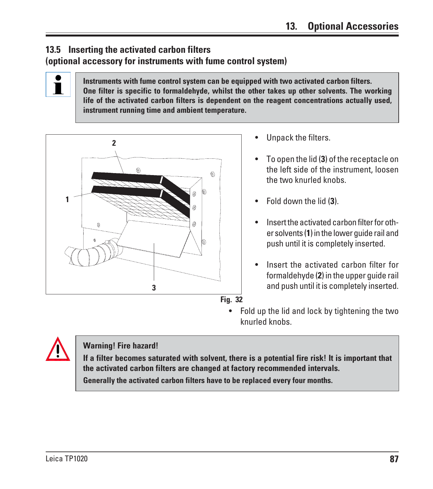#### **13.5 Inserting the activated carbon filters (optional accessory for instruments with fume control system)**

**Instruments with fume control system can be equipped with two activated carbon filters. One filter is specific to formaldehyde, whilst the other takes up other solvents. The working life of the activated carbon filters is dependent on the reagent concentrations actually used, instrument running time and ambient temperature.**



- Unpack the filters.
- To open the lid (**3**) of the receptacle on the left side of the instrument, loosen the two knurled knobs.
- Fold down the lid (**3**).
- Insert the activated carbon filter for other solvents (**1**) in the lower guide rail and push until it is completely inserted.
- Insert the activated carbon filter for formaldehyde (**2**) in the upper guide rail and push until it is completely inserted.
- Fold up the lid and lock by tightening the two knurled knobs.

ľ

#### **Warning! Fire hazard!**

**If a filter becomes saturated with solvent, there is a potential fire risk! It is important that the activated carbon filters are changed at factory recommended intervals. Generally the activated carbon filters have to be replaced every four months.**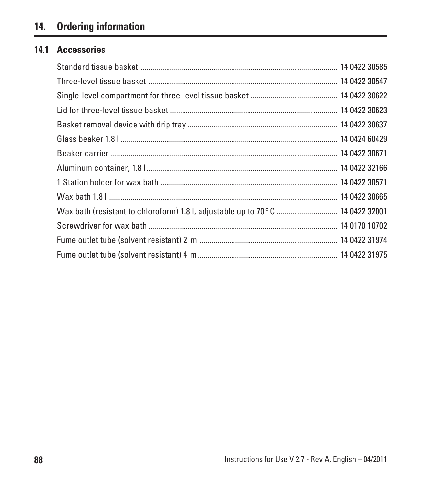# **14. Ordering information**

#### **14.1 Accessories**

| Wax bath (resistant to chloroform) 1.8 l, adjustable up to 70 °C  14 0422 32001 |  |
|---------------------------------------------------------------------------------|--|
|                                                                                 |  |
|                                                                                 |  |
|                                                                                 |  |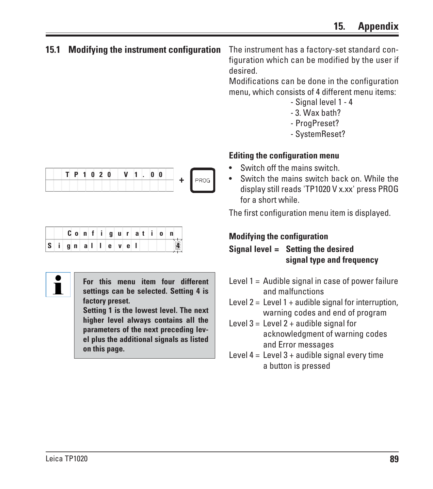#### **15.1 Modifying the instrument configuration**

The instrument has a factory-set standard configuration which can be modified by the user if desired.

Modifications can be done in the configuration menu, which consists of 4 different menu items:

- Signal level 1 4
- 3. Wax bath?
- ProgPreset?
- SystemReset?

#### **Editing the configuration menu**

- Switch off the mains switch.
- Switch the mains switch back on. While the display still reads 'TP1020 V x.xx' press PROG for a short while.

The first configuration menu item is displayed.

## **Modifying the configuration**

#### **Signal level = Setting the desired signal type and frequency**

- Level  $1 =$  Audible signal in case of power failure and malfunctions
- Level  $2 =$  Level  $1 +$  audible signal for interruption, warning codes and end of program
- Level  $3 =$  Level  $2 +$  audible signal for acknowledgment of warning codes and Error messages
- Level  $4 =$  Level  $3 +$  audible signal every time a button is pressed

|  | $\blacksquare$ | n | п |  |  |  |  |  |  |
|--|----------------|---|---|--|--|--|--|--|--|
|  |                |   |   |  |  |  |  |  |  |

|  |  |  |                                           |  |  | $C$ o   n   f   i   g   u   r   a   t   i   o |  |
|--|--|--|-------------------------------------------|--|--|-----------------------------------------------|--|
|  |  |  | S │ i │ g │ n │ a │ I │ l │ e │ v │ e │ I |  |  |                                               |  |



**For this menu item four different settings can be selected. Setting 4 is factory preset.**

**Setting 1 is the lowest level. The next higher level always contains all the parameters of the next preceding level plus the additional signals as listed on this page.**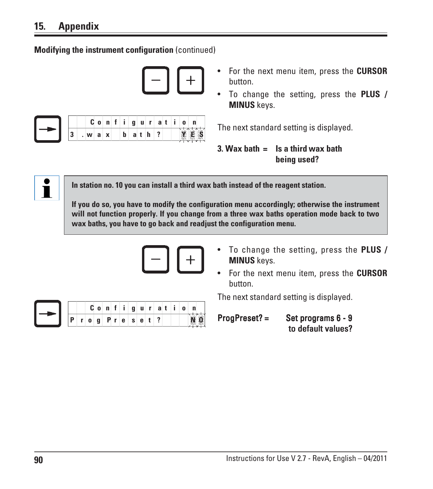**Modifying the instrument configuration** (continued)

|  |   | u | $\mathbf{0}$ | n | $\mathbf{I}$ | g | u | i ri | a |  | n     |
|--|---|---|--------------|---|--------------|---|---|------|---|--|-------|
|  | ω | W | a            | X | b            | a | τ | h    |   |  | 268.2 |

- For the next menu item, press the **CURSOR** button.
- To change the setting, press the **PLUS / MINUS** keys.

The next standard setting is displayed.

```
3. Wax bath = Is a third wax bath
   being used?
```


**In station no. 10 you can install a third wax bath instead of the reagent station.**

**If you do so, you have to modify the configuration menu accordingly; otherwise the instrument will not function properly. If you change from a three wax baths operation mode back to two wax baths, you have to go back and readjust the configuration menu.**



- To change the setting, press the **PLUS / MINUS** keys.
- For the next menu item, press the **CURSOR** button.

The next standard setting is displayed.



ProgPreset? = Set programs 6 - 9 to default values?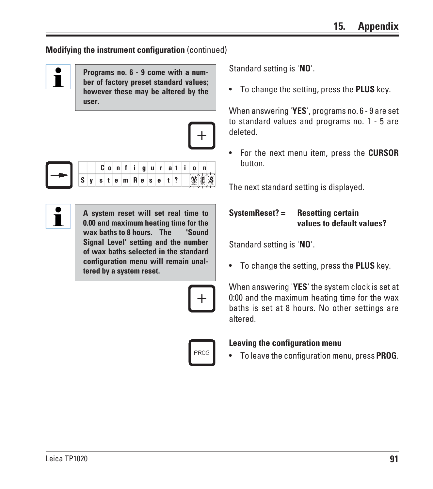#### **Modifying the instrument configuration** (continued)



**Programs no. 6 - 9 come with a number of factory preset standard values; however these may be altered by the user.**





|  |                                                                                  |  |  |  |  |  | $C$ on figuration |  |
|--|----------------------------------------------------------------------------------|--|--|--|--|--|-------------------|--|
|  | $S \mid y \mid s \mid t \mid e \mid m \mid R \mid e \mid s \mid e \mid t \mid ?$ |  |  |  |  |  |                   |  |

 $\check{\mathbf{I}}$ 

**A system reset will set real time to 0.00 and maximum heating time for the wax baths to 8 hours. The 'Sound Signal Level' setting and the number of wax baths selected in the standard configuration menu will remain unaltered by a system reset.**



Standard setting is '**NO**'.

• To change the setting, press the **PLUS** key.

When answering '**YES**', programs no. 6 - 9 are set to standard values and programs no. 1 - 5 are deleted.

• For the next menu item, press the **CURSOR** button.

The next standard setting is displayed.

#### **SystemReset? = Resetting certain values to default values?**

Standard setting is '**NO**'.

• To change the setting, press the **PLUS** key.

When answering '**YES**' the system clock is set at 0:00 and the maximum heating time for the wax baths is set at 8 hours. No other settings are altered.

# **PROG**

#### **Leaving the configuration menu**

• To leave the configuration menu, press **PROG**.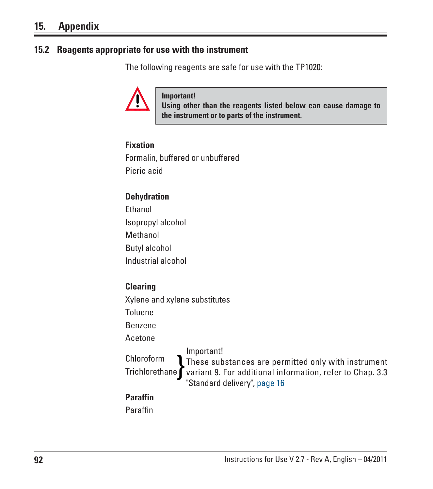#### **15.2 Reagents appropriate for use with the instrument**

The following reagents are safe for use with the TP1020:



**Important!**

**Using other than the reagents listed below can cause damage to the instrument or to parts of the instrument.**

#### **Fixation**

Formalin, buffered or unbuffered Picric acid

#### **Dehydration**

Ethanol Isopropyl alcohol Methanol Butyl alcohol Industrial alcohol

#### **Clearing**

Xylene and xylene substitutes

Toluene

Benzene

Acetone

Chloroform Chloroform<br>Trichlorethane variant 9. For additional information, refer to Chap. 3.3 Important! These substances are permitted only with instrument "Standard delivery", page 16

#### **Paraffin**

Paraffin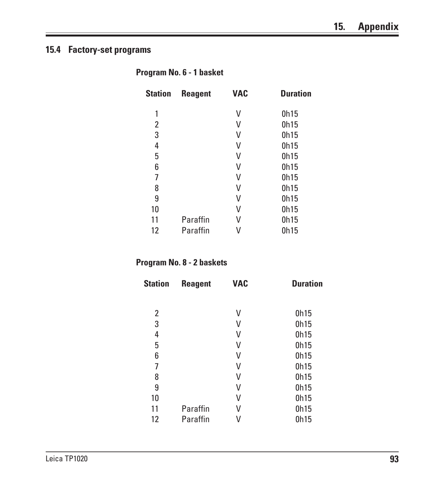#### **15.4 Factory-set programs**

| Program No. 6 - 1 basket |  |  |  |
|--------------------------|--|--|--|
|--------------------------|--|--|--|

| <b>Station</b> | <b>Reagent</b> | <b>VAC</b> | <b>Duration</b> |
|----------------|----------------|------------|-----------------|
| 1              |                | V          | 0h15            |
| 2              |                | V          | 0h15            |
| 3              |                | V          | 0h15            |
| 4              |                | V          | 0h15            |
| 5              |                | V          | 0h15            |
| 6              |                | V          | 0h15            |
| 7              |                | V          | 0h15            |
| 8              |                | V          | 0h15            |
| 9              |                | V          | 0h15            |
| 10             |                | V          | 0h15            |
| 11             | Paraffin       | V          | 0h15            |
| 12             | Paraffin       |            | 0h15            |

#### **Program No. 8 - 2 baskets**

| <b>Station</b> | <b>Reagent</b> | <b>VAC</b> | <b>Duration</b> |
|----------------|----------------|------------|-----------------|
|                |                |            |                 |
| 2              |                | V          | 0h15            |
| 3              |                | V          | 0h15            |
| 4              |                | V          | 0h15            |
| 5              |                | V          | 0h15            |
| 6              |                | V          | 0h15            |
| 7              |                | V          | 0h15            |
| 8              |                | V          | 0h15            |
| 9              |                | V          | 0h15            |
| 10             |                | V          | 0h15            |
| 11             | Paraffin       | V          | 0h15            |
| 12             | Paraffin       |            | 0h15            |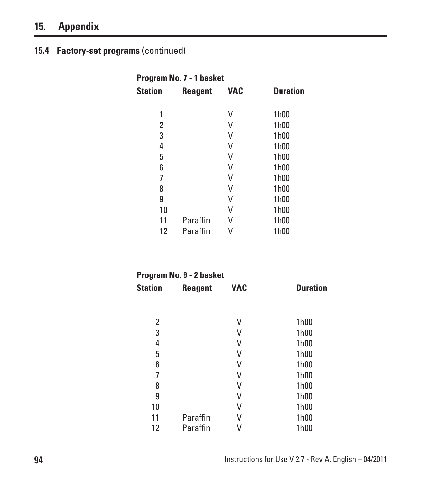# **15. Appendix**

# **15.4 Factory-set programs** (continued)

| Program No. 7 - 1 basket |                |            |                 |  |  |  |  |  |  |
|--------------------------|----------------|------------|-----------------|--|--|--|--|--|--|
| Station                  | <b>Reagent</b> | <b>VAC</b> | <b>Duration</b> |  |  |  |  |  |  |
| 1                        |                | V          | 1h00            |  |  |  |  |  |  |
| 2                        |                | V          | 1h00            |  |  |  |  |  |  |
| 3                        |                | V          | 1h00            |  |  |  |  |  |  |
| 4                        |                | V          | 1h00            |  |  |  |  |  |  |
| 5                        |                | V          | 1h00            |  |  |  |  |  |  |
| 6                        |                | V          | 1h00            |  |  |  |  |  |  |
| 7                        |                | V          | 1h00            |  |  |  |  |  |  |
| 8                        |                | V          | 1h00            |  |  |  |  |  |  |
| 9                        |                | V          | 1h00            |  |  |  |  |  |  |
| 10                       |                | V          | 1h00            |  |  |  |  |  |  |
| 11                       | Paraffin       | V          | 1h00            |  |  |  |  |  |  |
| 12                       | Paraffin       |            | 1h00            |  |  |  |  |  |  |

| <b>Reagent</b> | <b>VAC</b> | <b>Duration</b>          |
|----------------|------------|--------------------------|
|                |            |                          |
|                | V          | 1h00                     |
|                | V          | 1h00                     |
|                | V          | 1h00                     |
|                | V          | 1h00                     |
|                | V          | 1h00                     |
|                | V          | 1h00                     |
|                | V          | 1h00                     |
|                | V          | 1h00                     |
|                | V          | 1h00                     |
| Paraffin       | V          | 1h00                     |
| Paraffin       |            | 1h00                     |
|                |            | Program No. 9 - 2 basket |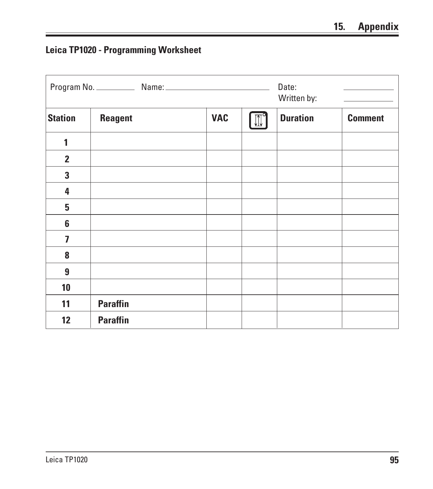# **Leica TP1020 - Programming Worksheet**

|                         |                 | Date:<br>Written by:<br><u> 1999 - Alban Stores</u> |  |                 |                |
|-------------------------|-----------------|-----------------------------------------------------|--|-----------------|----------------|
| <b>Station</b>          | <b>Reagent</b>  | <b>VAC</b>                                          |  | <b>Duration</b> | <b>Comment</b> |
| 1                       |                 |                                                     |  |                 |                |
| $\overline{2}$          |                 |                                                     |  |                 |                |
| 3                       |                 |                                                     |  |                 |                |
| 4                       |                 |                                                     |  |                 |                |
| 5                       |                 |                                                     |  |                 |                |
| $6\phantom{1}$          |                 |                                                     |  |                 |                |
| $\overline{\mathbf{z}}$ |                 |                                                     |  |                 |                |
| 8                       |                 |                                                     |  |                 |                |
| $\boldsymbol{9}$        |                 |                                                     |  |                 |                |
| 10                      |                 |                                                     |  |                 |                |
| 11                      | <b>Paraffin</b> |                                                     |  |                 |                |
| 12                      | <b>Paraffin</b> |                                                     |  |                 |                |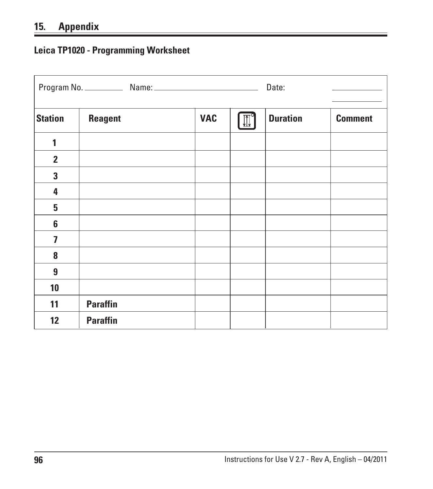# **15. Appendix**

# **Leica TP1020 - Programming Worksheet**

|                         |                 | Date:      |  |                 |                |
|-------------------------|-----------------|------------|--|-----------------|----------------|
| <b>Station</b>          | <b>Reagent</b>  | <b>VAC</b> |  | <b>Duration</b> | <b>Comment</b> |
| 1                       |                 |            |  |                 |                |
| $\overline{2}$          |                 |            |  |                 |                |
| $\mathbf{3}$            |                 |            |  |                 |                |
| 4                       |                 |            |  |                 |                |
| 5                       |                 |            |  |                 |                |
| $6\phantom{1}$          |                 |            |  |                 |                |
| $\overline{\mathbf{z}}$ |                 |            |  |                 |                |
| 8                       |                 |            |  |                 |                |
| $\boldsymbol{9}$        |                 |            |  |                 |                |
| 10                      |                 |            |  |                 |                |
| 11                      | <b>Paraffin</b> |            |  |                 |                |
| 12                      | <b>Paraffin</b> |            |  |                 |                |